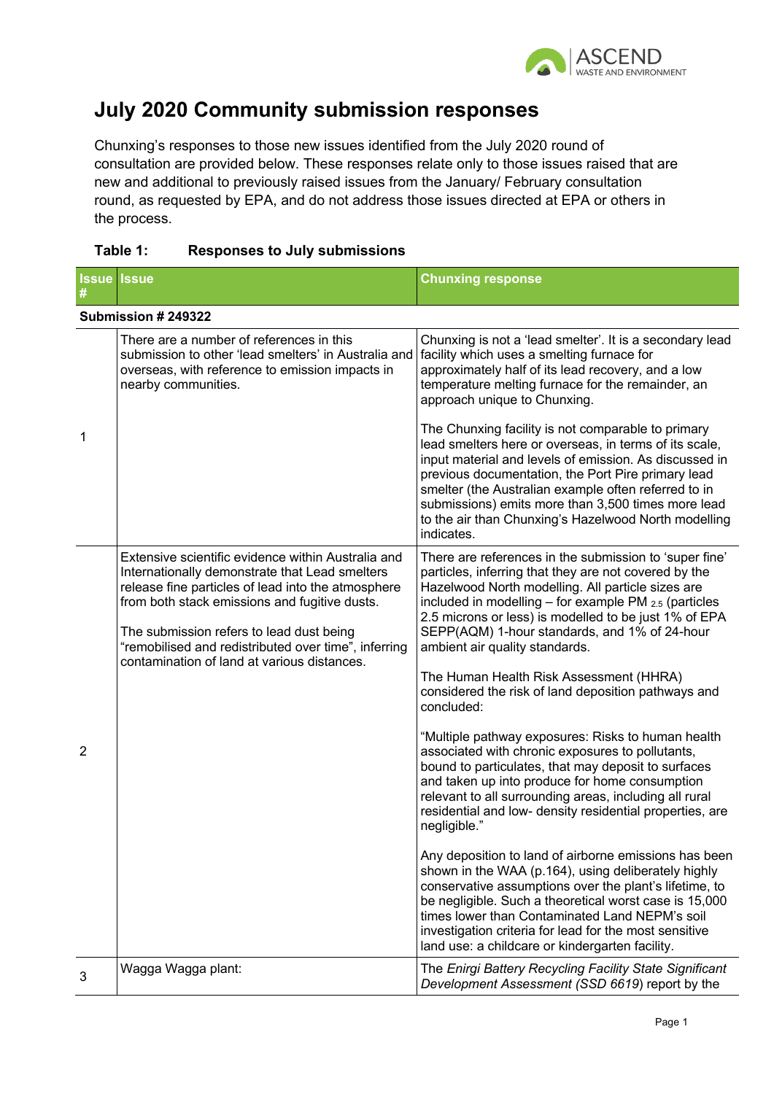

# **July 2020 Community submission responses**

Chunxing's responses to those new issues identified from the July 2020 round of consultation are provided below. These responses relate only to those issues raised that are new and additional to previously raised issues from the January/ February consultation round, as requested by EPA, and do not address those issues directed at EPA or others in the process.

|                | <b>Issue Issue</b>                                                                                                                                                                                                                                                                                                                                             | <b>Chunxing response</b>                                                                                                                                                                                                                                                                                                                                                                                                                                                                                                                                                                                                                                                                                                                                                                                                                                  |
|----------------|----------------------------------------------------------------------------------------------------------------------------------------------------------------------------------------------------------------------------------------------------------------------------------------------------------------------------------------------------------------|-----------------------------------------------------------------------------------------------------------------------------------------------------------------------------------------------------------------------------------------------------------------------------------------------------------------------------------------------------------------------------------------------------------------------------------------------------------------------------------------------------------------------------------------------------------------------------------------------------------------------------------------------------------------------------------------------------------------------------------------------------------------------------------------------------------------------------------------------------------|
|                | Submission # 249322                                                                                                                                                                                                                                                                                                                                            |                                                                                                                                                                                                                                                                                                                                                                                                                                                                                                                                                                                                                                                                                                                                                                                                                                                           |
|                | There are a number of references in this<br>submission to other 'lead smelters' in Australia and<br>overseas, with reference to emission impacts in<br>nearby communities.                                                                                                                                                                                     | Chunxing is not a 'lead smelter'. It is a secondary lead<br>facility which uses a smelting furnace for<br>approximately half of its lead recovery, and a low<br>temperature melting furnace for the remainder, an<br>approach unique to Chunxing.                                                                                                                                                                                                                                                                                                                                                                                                                                                                                                                                                                                                         |
| 1              |                                                                                                                                                                                                                                                                                                                                                                | The Chunxing facility is not comparable to primary<br>lead smelters here or overseas, in terms of its scale,<br>input material and levels of emission. As discussed in<br>previous documentation, the Port Pire primary lead<br>smelter (the Australian example often referred to in<br>submissions) emits more than 3,500 times more lead<br>to the air than Chunxing's Hazelwood North modelling<br>indicates.                                                                                                                                                                                                                                                                                                                                                                                                                                          |
| $\overline{2}$ | Extensive scientific evidence within Australia and<br>Internationally demonstrate that Lead smelters<br>release fine particles of lead into the atmosphere<br>from both stack emissions and fugitive dusts.<br>The submission refers to lead dust being<br>"remobilised and redistributed over time", inferring<br>contamination of land at various distances. | There are references in the submission to 'super fine'<br>particles, inferring that they are not covered by the<br>Hazelwood North modelling. All particle sizes are<br>included in modelling $-$ for example PM $_{2.5}$ (particles<br>2.5 microns or less) is modelled to be just 1% of EPA<br>SEPP(AQM) 1-hour standards, and 1% of 24-hour<br>ambient air quality standards.<br>The Human Health Risk Assessment (HHRA)<br>considered the risk of land deposition pathways and<br>concluded:<br>"Multiple pathway exposures: Risks to human health<br>associated with chronic exposures to pollutants,<br>bound to particulates, that may deposit to surfaces<br>and taken up into produce for home consumption<br>relevant to all surrounding areas, including all rural<br>residential and low- density residential properties, are<br>negligible." |
|                |                                                                                                                                                                                                                                                                                                                                                                | Any deposition to land of airborne emissions has been<br>shown in the WAA (p.164), using deliberately highly<br>conservative assumptions over the plant's lifetime, to<br>be negligible. Such a theoretical worst case is 15,000<br>times lower than Contaminated Land NEPM's soil<br>investigation criteria for lead for the most sensitive<br>land use: a childcare or kindergarten facility.                                                                                                                                                                                                                                                                                                                                                                                                                                                           |
| 3              | Wagga Wagga plant:                                                                                                                                                                                                                                                                                                                                             | The Enirgi Battery Recycling Facility State Significant<br>Development Assessment (SSD 6619) report by the                                                                                                                                                                                                                                                                                                                                                                                                                                                                                                                                                                                                                                                                                                                                                |

# **Table 1: Responses to July submissions**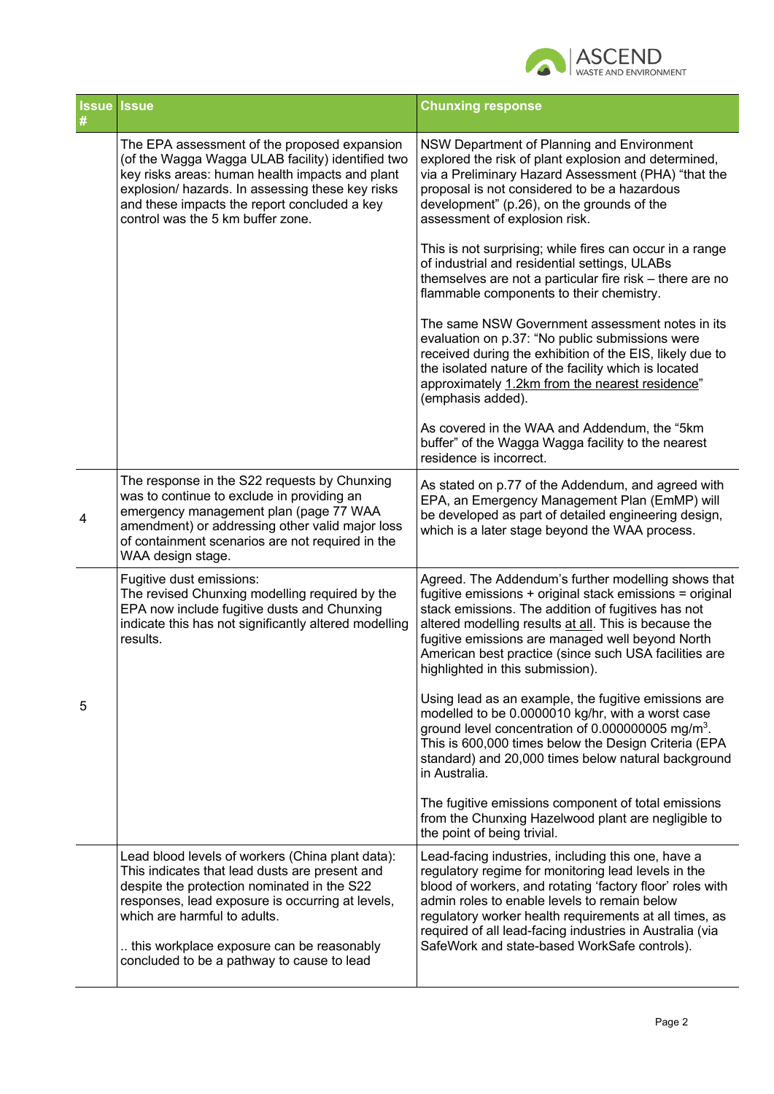

|   | <b>Issue Issue</b>                                                                                                                                                                                                                                                                                                               | <b>Chunxing response</b>                                                                                                                                                                                                                                                                                                                                                                     |
|---|----------------------------------------------------------------------------------------------------------------------------------------------------------------------------------------------------------------------------------------------------------------------------------------------------------------------------------|----------------------------------------------------------------------------------------------------------------------------------------------------------------------------------------------------------------------------------------------------------------------------------------------------------------------------------------------------------------------------------------------|
|   | The EPA assessment of the proposed expansion<br>(of the Wagga Wagga ULAB facility) identified two<br>key risks areas: human health impacts and plant<br>explosion/ hazards. In assessing these key risks<br>and these impacts the report concluded a key<br>control was the 5 km buffer zone.                                    | NSW Department of Planning and Environment<br>explored the risk of plant explosion and determined,<br>via a Preliminary Hazard Assessment (PHA) "that the<br>proposal is not considered to be a hazardous<br>development" (p.26), on the grounds of the<br>assessment of explosion risk.                                                                                                     |
|   |                                                                                                                                                                                                                                                                                                                                  | This is not surprising; while fires can occur in a range<br>of industrial and residential settings, ULABs<br>themselves are not a particular fire risk - there are no<br>flammable components to their chemistry.                                                                                                                                                                            |
|   |                                                                                                                                                                                                                                                                                                                                  | The same NSW Government assessment notes in its<br>evaluation on p.37: "No public submissions were<br>received during the exhibition of the EIS, likely due to<br>the isolated nature of the facility which is located<br>approximately 1.2km from the nearest residence"<br>(emphasis added).                                                                                               |
|   |                                                                                                                                                                                                                                                                                                                                  | As covered in the WAA and Addendum, the "5km<br>buffer" of the Wagga Wagga facility to the nearest<br>residence is incorrect.                                                                                                                                                                                                                                                                |
| 4 | The response in the S22 requests by Chunxing<br>was to continue to exclude in providing an<br>emergency management plan (page 77 WAA<br>amendment) or addressing other valid major loss<br>of containment scenarios are not required in the<br>WAA design stage.                                                                 | As stated on p.77 of the Addendum, and agreed with<br>EPA, an Emergency Management Plan (EmMP) will<br>be developed as part of detailed engineering design,<br>which is a later stage beyond the WAA process.                                                                                                                                                                                |
|   | Fugitive dust emissions:<br>The revised Chunxing modelling required by the<br>EPA now include fugitive dusts and Chunxing<br>indicate this has not significantly altered modelling<br>results.                                                                                                                                   | Agreed. The Addendum's further modelling shows that<br>fugitive emissions + original stack emissions = original<br>stack emissions. The addition of fugitives has not<br>altered modelling results at all. This is because the<br>fugitive emissions are managed well beyond North<br>American best practice (since such USA facilities are<br>highlighted in this submission).              |
| 5 |                                                                                                                                                                                                                                                                                                                                  | Using lead as an example, the fugitive emissions are<br>modelled to be 0.0000010 kg/hr, with a worst case<br>ground level concentration of 0.000000005 mg/m <sup>3</sup> .<br>This is 600,000 times below the Design Criteria (EPA<br>standard) and 20,000 times below natural background<br>in Australia.                                                                                   |
|   |                                                                                                                                                                                                                                                                                                                                  | The fugitive emissions component of total emissions<br>from the Chunxing Hazelwood plant are negligible to<br>the point of being trivial.                                                                                                                                                                                                                                                    |
|   | Lead blood levels of workers (China plant data):<br>This indicates that lead dusts are present and<br>despite the protection nominated in the S22<br>responses, lead exposure is occurring at levels,<br>which are harmful to adults.<br>this workplace exposure can be reasonably<br>concluded to be a pathway to cause to lead | Lead-facing industries, including this one, have a<br>regulatory regime for monitoring lead levels in the<br>blood of workers, and rotating 'factory floor' roles with<br>admin roles to enable levels to remain below<br>regulatory worker health requirements at all times, as<br>required of all lead-facing industries in Australia (via<br>SafeWork and state-based WorkSafe controls). |
|   |                                                                                                                                                                                                                                                                                                                                  |                                                                                                                                                                                                                                                                                                                                                                                              |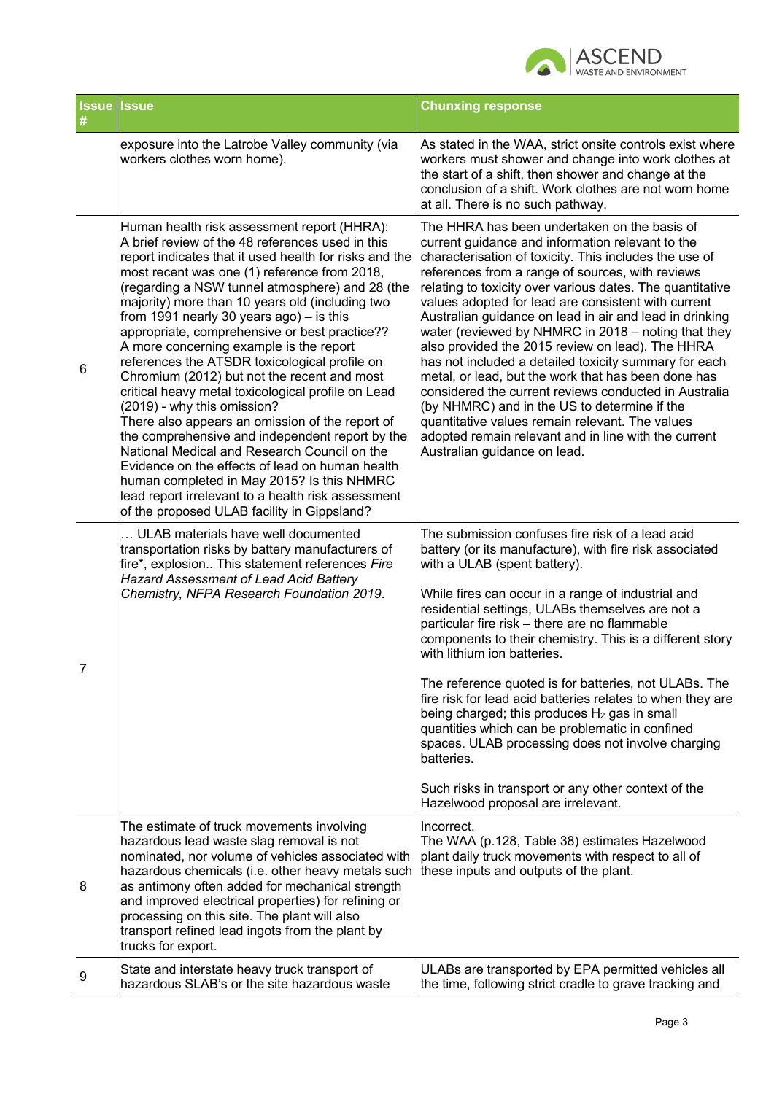

| <b>Issue Issue</b> |                                                                                                                                                                                                                                                                                                                                                                                                                                                                                                                                                                                                                                                                                                                                                                                                                                                                                                                                                                                                             | <b>Chunxing response</b>                                                                                                                                                                                                                                                                                                                                                                                                                                                                                                                                                                                                                                                                                                                                                                                                                                                     |
|--------------------|-------------------------------------------------------------------------------------------------------------------------------------------------------------------------------------------------------------------------------------------------------------------------------------------------------------------------------------------------------------------------------------------------------------------------------------------------------------------------------------------------------------------------------------------------------------------------------------------------------------------------------------------------------------------------------------------------------------------------------------------------------------------------------------------------------------------------------------------------------------------------------------------------------------------------------------------------------------------------------------------------------------|------------------------------------------------------------------------------------------------------------------------------------------------------------------------------------------------------------------------------------------------------------------------------------------------------------------------------------------------------------------------------------------------------------------------------------------------------------------------------------------------------------------------------------------------------------------------------------------------------------------------------------------------------------------------------------------------------------------------------------------------------------------------------------------------------------------------------------------------------------------------------|
|                    | exposure into the Latrobe Valley community (via<br>workers clothes worn home).                                                                                                                                                                                                                                                                                                                                                                                                                                                                                                                                                                                                                                                                                                                                                                                                                                                                                                                              | As stated in the WAA, strict onsite controls exist where<br>workers must shower and change into work clothes at<br>the start of a shift, then shower and change at the<br>conclusion of a shift. Work clothes are not worn home<br>at all. There is no such pathway.                                                                                                                                                                                                                                                                                                                                                                                                                                                                                                                                                                                                         |
| 6                  | Human health risk assessment report (HHRA):<br>A brief review of the 48 references used in this<br>report indicates that it used health for risks and the<br>most recent was one (1) reference from 2018,<br>(regarding a NSW tunnel atmosphere) and 28 (the<br>majority) more than 10 years old (including two<br>from 1991 nearly 30 years $ago$ ) – is this<br>appropriate, comprehensive or best practice??<br>A more concerning example is the report<br>references the ATSDR toxicological profile on<br>Chromium (2012) but not the recent and most<br>critical heavy metal toxicological profile on Lead<br>(2019) - why this omission?<br>There also appears an omission of the report of<br>the comprehensive and independent report by the<br>National Medical and Research Council on the<br>Evidence on the effects of lead on human health<br>human completed in May 2015? Is this NHMRC<br>lead report irrelevant to a health risk assessment<br>of the proposed ULAB facility in Gippsland? | The HHRA has been undertaken on the basis of<br>current guidance and information relevant to the<br>characterisation of toxicity. This includes the use of<br>references from a range of sources, with reviews<br>relating to toxicity over various dates. The quantitative<br>values adopted for lead are consistent with current<br>Australian guidance on lead in air and lead in drinking<br>water (reviewed by NHMRC in 2018 - noting that they<br>also provided the 2015 review on lead). The HHRA<br>has not included a detailed toxicity summary for each<br>metal, or lead, but the work that has been done has<br>considered the current reviews conducted in Australia<br>(by NHMRC) and in the US to determine if the<br>quantitative values remain relevant. The values<br>adopted remain relevant and in line with the current<br>Australian guidance on lead. |
| 7                  | ULAB materials have well documented<br>transportation risks by battery manufacturers of<br>fire*, explosion This statement references Fire<br>Hazard Assessment of Lead Acid Battery<br>Chemistry, NFPA Research Foundation 2019.                                                                                                                                                                                                                                                                                                                                                                                                                                                                                                                                                                                                                                                                                                                                                                           | The submission confuses fire risk of a lead acid<br>battery (or its manufacture), with fire risk associated<br>with a ULAB (spent battery).<br>While fires can occur in a range of industrial and<br>residential settings, ULABs themselves are not a<br>particular fire risk - there are no flammable<br>components to their chemistry. This is a different story<br>with lithium ion batteries.<br>The reference quoted is for batteries, not ULABs. The<br>fire risk for lead acid batteries relates to when they are<br>being charged; this produces H <sub>2</sub> gas in small<br>quantities which can be problematic in confined<br>spaces. ULAB processing does not involve charging<br>batteries.<br>Such risks in transport or any other context of the<br>Hazelwood proposal are irrelevant.                                                                      |
| 8                  | The estimate of truck movements involving<br>hazardous lead waste slag removal is not<br>nominated, nor volume of vehicles associated with<br>hazardous chemicals (i.e. other heavy metals such<br>as antimony often added for mechanical strength<br>and improved electrical properties) for refining or<br>processing on this site. The plant will also<br>transport refined lead ingots from the plant by<br>trucks for export.                                                                                                                                                                                                                                                                                                                                                                                                                                                                                                                                                                          | Incorrect.<br>The WAA (p.128, Table 38) estimates Hazelwood<br>plant daily truck movements with respect to all of<br>these inputs and outputs of the plant.                                                                                                                                                                                                                                                                                                                                                                                                                                                                                                                                                                                                                                                                                                                  |
| 9                  | State and interstate heavy truck transport of<br>hazardous SLAB's or the site hazardous waste                                                                                                                                                                                                                                                                                                                                                                                                                                                                                                                                                                                                                                                                                                                                                                                                                                                                                                               | ULABs are transported by EPA permitted vehicles all<br>the time, following strict cradle to grave tracking and                                                                                                                                                                                                                                                                                                                                                                                                                                                                                                                                                                                                                                                                                                                                                               |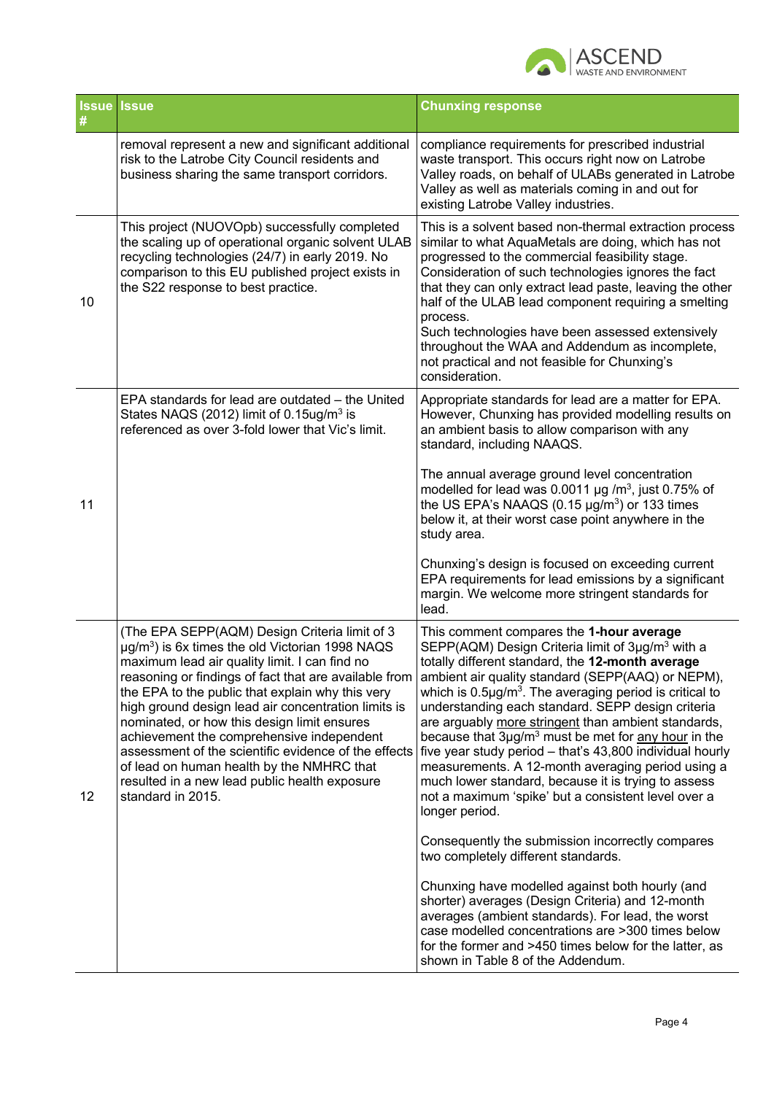

| <b>Issue</b> | <b>Issue</b>                                                                                                                                                                                                                                                                                                                                                                                                                                                                                                                                                                                                  | <b>Chunxing response</b>                                                                                                                                                                                                                                                                                                                                                                                                                                                                                                                                                                                                                                                                                                                                                                                                                                                                                                                                                                                                                                                                                                     |
|--------------|---------------------------------------------------------------------------------------------------------------------------------------------------------------------------------------------------------------------------------------------------------------------------------------------------------------------------------------------------------------------------------------------------------------------------------------------------------------------------------------------------------------------------------------------------------------------------------------------------------------|------------------------------------------------------------------------------------------------------------------------------------------------------------------------------------------------------------------------------------------------------------------------------------------------------------------------------------------------------------------------------------------------------------------------------------------------------------------------------------------------------------------------------------------------------------------------------------------------------------------------------------------------------------------------------------------------------------------------------------------------------------------------------------------------------------------------------------------------------------------------------------------------------------------------------------------------------------------------------------------------------------------------------------------------------------------------------------------------------------------------------|
|              | removal represent a new and significant additional<br>risk to the Latrobe City Council residents and<br>business sharing the same transport corridors.                                                                                                                                                                                                                                                                                                                                                                                                                                                        | compliance requirements for prescribed industrial<br>waste transport. This occurs right now on Latrobe<br>Valley roads, on behalf of ULABs generated in Latrobe<br>Valley as well as materials coming in and out for<br>existing Latrobe Valley industries.                                                                                                                                                                                                                                                                                                                                                                                                                                                                                                                                                                                                                                                                                                                                                                                                                                                                  |
| 10           | This project (NUOVOpb) successfully completed<br>the scaling up of operational organic solvent ULAB<br>recycling technologies (24/7) in early 2019. No<br>comparison to this EU published project exists in<br>the S22 response to best practice.                                                                                                                                                                                                                                                                                                                                                             | This is a solvent based non-thermal extraction process<br>similar to what AquaMetals are doing, which has not<br>progressed to the commercial feasibility stage.<br>Consideration of such technologies ignores the fact<br>that they can only extract lead paste, leaving the other<br>half of the ULAB lead component requiring a smelting<br>process.<br>Such technologies have been assessed extensively<br>throughout the WAA and Addendum as incomplete,<br>not practical and not feasible for Chunxing's<br>consideration.                                                                                                                                                                                                                                                                                                                                                                                                                                                                                                                                                                                             |
| 11           | EPA standards for lead are outdated - the United<br>States NAQS (2012) limit of 0.15ug/m <sup>3</sup> is<br>referenced as over 3-fold lower that Vic's limit.                                                                                                                                                                                                                                                                                                                                                                                                                                                 | Appropriate standards for lead are a matter for EPA.<br>However, Chunxing has provided modelling results on<br>an ambient basis to allow comparison with any<br>standard, including NAAQS.<br>The annual average ground level concentration<br>modelled for lead was 0.0011 $\mu$ g /m <sup>3</sup> , just 0.75% of<br>the US EPA's NAAQS $(0.15 \mu g/m^3)$ or 133 times<br>below it, at their worst case point anywhere in the<br>study area.<br>Chunxing's design is focused on exceeding current<br>EPA requirements for lead emissions by a significant<br>margin. We welcome more stringent standards for<br>lead.                                                                                                                                                                                                                                                                                                                                                                                                                                                                                                     |
| 12           | (The EPA SEPP(AQM) Design Criteria limit of 3<br>$\mu$ g/m <sup>3</sup> ) is 6x times the old Victorian 1998 NAQS<br>maximum lead air quality limit. I can find no<br>reasoning or findings of fact that are available from<br>the EPA to the public that explain why this very<br>high ground design lead air concentration limits is<br>nominated, or how this design limit ensures<br>achievement the comprehensive independent<br>assessment of the scientific evidence of the effects<br>of lead on human health by the NMHRC that<br>resulted in a new lead public health exposure<br>standard in 2015. | This comment compares the 1-hour average<br>SEPP(AQM) Design Criteria limit of 3µg/m <sup>3</sup> with a<br>totally different standard, the 12-month average<br>ambient air quality standard (SEPP(AAQ) or NEPM),<br>which is $0.5\mu g/m3$ . The averaging period is critical to<br>understanding each standard. SEPP design criteria<br>are arguably more stringent than ambient standards,<br>because that 3µg/m <sup>3</sup> must be met for any hour in the<br>five year study period - that's 43,800 individual hourly<br>measurements. A 12-month averaging period using a<br>much lower standard, because it is trying to assess<br>not a maximum 'spike' but a consistent level over a<br>longer period.<br>Consequently the submission incorrectly compares<br>two completely different standards.<br>Chunxing have modelled against both hourly (and<br>shorter) averages (Design Criteria) and 12-month<br>averages (ambient standards). For lead, the worst<br>case modelled concentrations are >300 times below<br>for the former and >450 times below for the latter, as<br>shown in Table 8 of the Addendum. |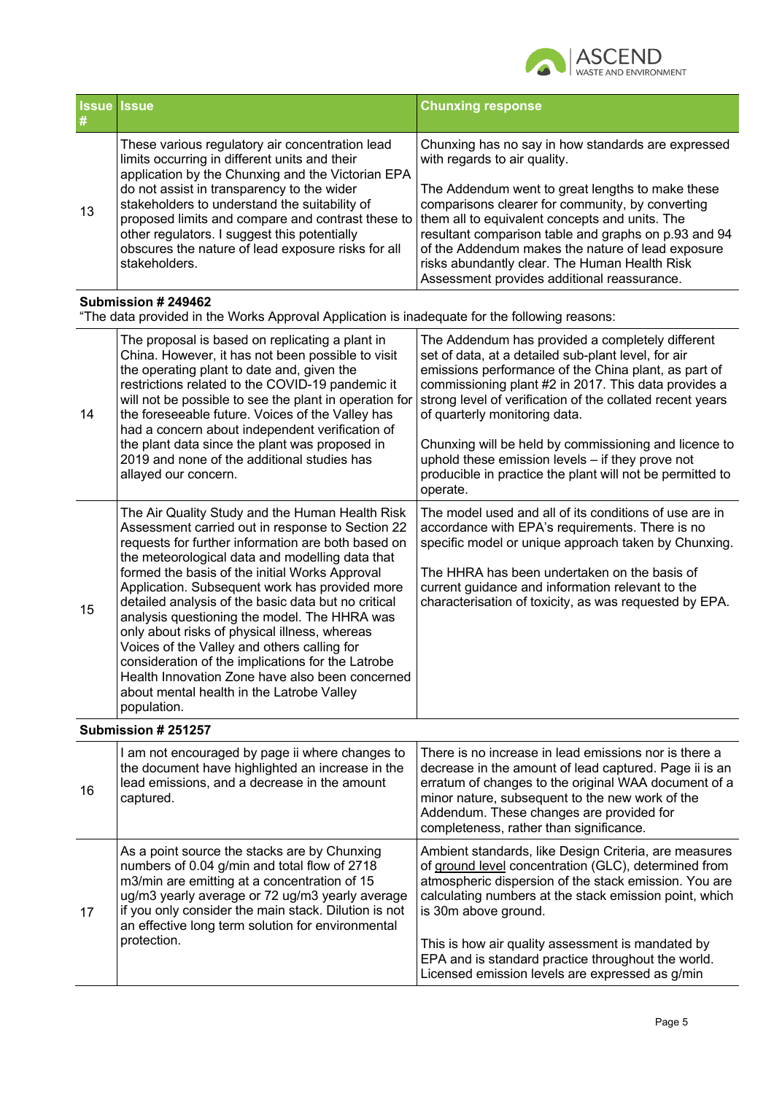

| #  | <b>Issue Issue</b>                                                                                                                                                                                                                                                                                                                                                                                                                                                                                                                                                                                                                                                                          | <b>Chunxing response</b>                                                                                                                                                                                                                                                                                                                                                                                                                                                                                    |
|----|---------------------------------------------------------------------------------------------------------------------------------------------------------------------------------------------------------------------------------------------------------------------------------------------------------------------------------------------------------------------------------------------------------------------------------------------------------------------------------------------------------------------------------------------------------------------------------------------------------------------------------------------------------------------------------------------|-------------------------------------------------------------------------------------------------------------------------------------------------------------------------------------------------------------------------------------------------------------------------------------------------------------------------------------------------------------------------------------------------------------------------------------------------------------------------------------------------------------|
| 13 | These various regulatory air concentration lead<br>limits occurring in different units and their<br>application by the Chunxing and the Victorian EPA<br>do not assist in transparency to the wider<br>stakeholders to understand the suitability of<br>proposed limits and compare and contrast these to<br>other regulators. I suggest this potentially<br>obscures the nature of lead exposure risks for all<br>stakeholders.                                                                                                                                                                                                                                                            | Chunxing has no say in how standards are expressed<br>with regards to air quality.<br>The Addendum went to great lengths to make these<br>comparisons clearer for community, by converting<br>them all to equivalent concepts and units. The<br>resultant comparison table and graphs on p.93 and 94<br>of the Addendum makes the nature of lead exposure<br>risks abundantly clear. The Human Health Risk<br>Assessment provides additional reassurance.                                                   |
|    | Submission # 249462<br>"The data provided in the Works Approval Application is inadequate for the following reasons:                                                                                                                                                                                                                                                                                                                                                                                                                                                                                                                                                                        |                                                                                                                                                                                                                                                                                                                                                                                                                                                                                                             |
| 14 | The proposal is based on replicating a plant in<br>China. However, it has not been possible to visit<br>the operating plant to date and, given the<br>restrictions related to the COVID-19 pandemic it<br>will not be possible to see the plant in operation for<br>the foreseeable future. Voices of the Valley has<br>had a concern about independent verification of<br>the plant data since the plant was proposed in<br>2019 and none of the additional studies has<br>allayed our concern.                                                                                                                                                                                            | The Addendum has provided a completely different<br>set of data, at a detailed sub-plant level, for air<br>emissions performance of the China plant, as part of<br>commissioning plant #2 in 2017. This data provides a<br>strong level of verification of the collated recent years<br>of quarterly monitoring data.<br>Chunxing will be held by commissioning and licence to<br>uphold these emission levels - if they prove not<br>producible in practice the plant will not be permitted to<br>operate. |
| 15 | The Air Quality Study and the Human Health Risk<br>Assessment carried out in response to Section 22<br>requests for further information are both based on<br>the meteorological data and modelling data that<br>formed the basis of the initial Works Approval<br>Application. Subsequent work has provided more<br>detailed analysis of the basic data but no critical<br>analysis questioning the model. The HHRA was<br>only about risks of physical illness, whereas<br>Voices of the Valley and others calling for<br>consideration of the implications for the Latrobe<br>Health Innovation Zone have also been concerned<br>about mental health in the Latrobe Valley<br>population. | The model used and all of its conditions of use are in<br>accordance with EPA's requirements. There is no<br>specific model or unique approach taken by Chunxing.<br>The HHRA has been undertaken on the basis of<br>current guidance and information relevant to the<br>characterisation of toxicity, as was requested by EPA.                                                                                                                                                                             |
|    | Submission # 251257                                                                                                                                                                                                                                                                                                                                                                                                                                                                                                                                                                                                                                                                         |                                                                                                                                                                                                                                                                                                                                                                                                                                                                                                             |
| 16 | I am not encouraged by page ii where changes to<br>the document have highlighted an increase in the<br>lead emissions, and a decrease in the amount<br>captured.                                                                                                                                                                                                                                                                                                                                                                                                                                                                                                                            | There is no increase in lead emissions nor is there a<br>decrease in the amount of lead captured. Page ii is an<br>erratum of changes to the original WAA document of a<br>minor nature, subsequent to the new work of the<br>Addendum. These changes are provided for<br>completeness, rather than significance.                                                                                                                                                                                           |
| 17 | As a point source the stacks are by Chunxing<br>numbers of 0.04 g/min and total flow of 2718<br>m3/min are emitting at a concentration of 15<br>ug/m3 yearly average or 72 ug/m3 yearly average<br>if you only consider the main stack. Dilution is not<br>an effective long term solution for environmental<br>protection.                                                                                                                                                                                                                                                                                                                                                                 | Ambient standards, like Design Criteria, are measures<br>of ground level concentration (GLC), determined from<br>atmospheric dispersion of the stack emission. You are<br>calculating numbers at the stack emission point, which<br>is 30m above ground.<br>This is how air quality assessment is mandated by<br>EPA and is standard practice throughout the world.<br>Licensed emission levels are expressed as g/min                                                                                      |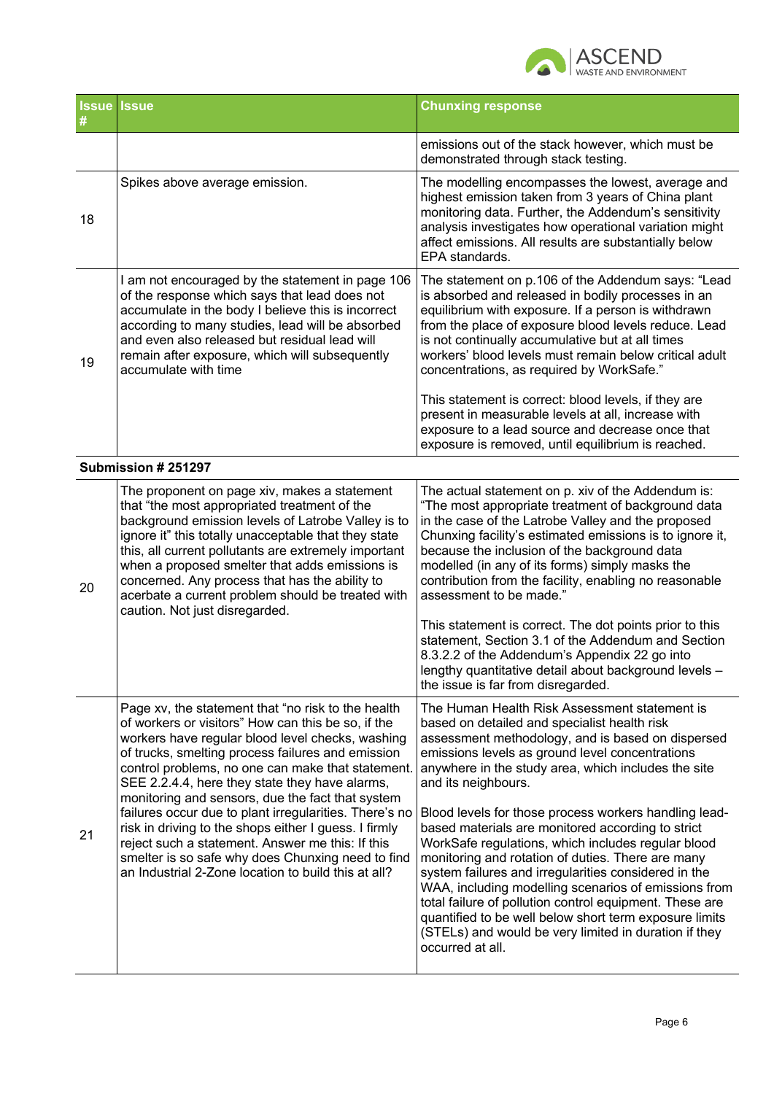

|    | <b>Issue Issue</b>                                                                                                                                                                                                                                                                                                                                                                                                                                                                                                                                                                                                                                              | <b>Chunxing response</b>                                                                                                                                                                                                                                                                                                                                                                                                                                                                                                                                                                                                                                                                                                                                                                                                       |
|----|-----------------------------------------------------------------------------------------------------------------------------------------------------------------------------------------------------------------------------------------------------------------------------------------------------------------------------------------------------------------------------------------------------------------------------------------------------------------------------------------------------------------------------------------------------------------------------------------------------------------------------------------------------------------|--------------------------------------------------------------------------------------------------------------------------------------------------------------------------------------------------------------------------------------------------------------------------------------------------------------------------------------------------------------------------------------------------------------------------------------------------------------------------------------------------------------------------------------------------------------------------------------------------------------------------------------------------------------------------------------------------------------------------------------------------------------------------------------------------------------------------------|
|    |                                                                                                                                                                                                                                                                                                                                                                                                                                                                                                                                                                                                                                                                 | emissions out of the stack however, which must be<br>demonstrated through stack testing.                                                                                                                                                                                                                                                                                                                                                                                                                                                                                                                                                                                                                                                                                                                                       |
| 18 | Spikes above average emission.                                                                                                                                                                                                                                                                                                                                                                                                                                                                                                                                                                                                                                  | The modelling encompasses the lowest, average and<br>highest emission taken from 3 years of China plant<br>monitoring data. Further, the Addendum's sensitivity<br>analysis investigates how operational variation might<br>affect emissions. All results are substantially below<br>EPA standards.                                                                                                                                                                                                                                                                                                                                                                                                                                                                                                                            |
| 19 | I am not encouraged by the statement in page 106<br>of the response which says that lead does not<br>accumulate in the body I believe this is incorrect<br>according to many studies, lead will be absorbed<br>and even also released but residual lead will<br>remain after exposure, which will subsequently<br>accumulate with time                                                                                                                                                                                                                                                                                                                          | The statement on p.106 of the Addendum says: "Lead<br>is absorbed and released in bodily processes in an<br>equilibrium with exposure. If a person is withdrawn<br>from the place of exposure blood levels reduce. Lead<br>is not continually accumulative but at all times<br>workers' blood levels must remain below critical adult<br>concentrations, as required by WorkSafe."                                                                                                                                                                                                                                                                                                                                                                                                                                             |
|    |                                                                                                                                                                                                                                                                                                                                                                                                                                                                                                                                                                                                                                                                 | This statement is correct: blood levels, if they are<br>present in measurable levels at all, increase with<br>exposure to a lead source and decrease once that<br>exposure is removed, until equilibrium is reached.                                                                                                                                                                                                                                                                                                                                                                                                                                                                                                                                                                                                           |
|    | Submission # 251297                                                                                                                                                                                                                                                                                                                                                                                                                                                                                                                                                                                                                                             |                                                                                                                                                                                                                                                                                                                                                                                                                                                                                                                                                                                                                                                                                                                                                                                                                                |
| 20 | The proponent on page xiv, makes a statement<br>that "the most appropriated treatment of the<br>background emission levels of Latrobe Valley is to<br>ignore it" this totally unacceptable that they state<br>this, all current pollutants are extremely important<br>when a proposed smelter that adds emissions is<br>concerned. Any process that has the ability to<br>acerbate a current problem should be treated with<br>caution. Not just disregarded.                                                                                                                                                                                                   | The actual statement on p. xiv of the Addendum is:<br>"The most appropriate treatment of background data<br>in the case of the Latrobe Valley and the proposed<br>Chunxing facility's estimated emissions is to ignore it,<br>because the inclusion of the background data<br>modelled (in any of its forms) simply masks the<br>contribution from the facility, enabling no reasonable<br>assessment to be made."<br>This statement is correct. The dot points prior to this<br>statement, Section 3.1 of the Addendum and Section<br>8.3.2.2 of the Addendum's Appendix 22 go into<br>lengthy quantitative detail about background levels -<br>the issue is far from disregarded.                                                                                                                                            |
| 21 | Page xv, the statement that "no risk to the health<br>of workers or visitors" How can this be so, if the<br>workers have regular blood level checks, washing<br>of trucks, smelting process failures and emission<br>control problems, no one can make that statement.<br>SEE 2.2.4.4, here they state they have alarms,<br>monitoring and sensors, due the fact that system<br>failures occur due to plant irregularities. There's no<br>risk in driving to the shops either I guess. I firmly<br>reject such a statement. Answer me this: If this<br>smelter is so safe why does Chunxing need to find<br>an Industrial 2-Zone location to build this at all? | The Human Health Risk Assessment statement is<br>based on detailed and specialist health risk<br>assessment methodology, and is based on dispersed<br>emissions levels as ground level concentrations<br>anywhere in the study area, which includes the site<br>and its neighbours.<br>Blood levels for those process workers handling lead-<br>based materials are monitored according to strict<br>WorkSafe regulations, which includes regular blood<br>monitoring and rotation of duties. There are many<br>system failures and irregularities considered in the<br>WAA, including modelling scenarios of emissions from<br>total failure of pollution control equipment. These are<br>quantified to be well below short term exposure limits<br>(STELs) and would be very limited in duration if they<br>occurred at all. |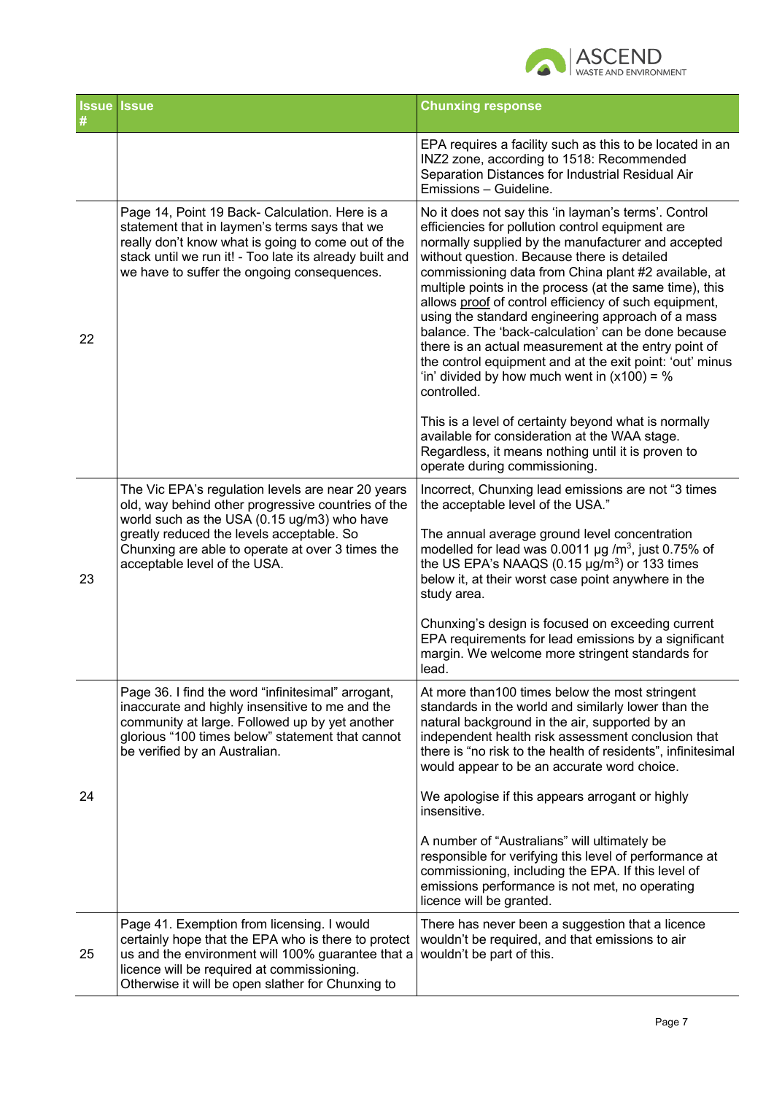

|    | <b>Issue Issue</b>                                                                                                                                                                                                                                                                      | <b>Chunxing response</b>                                                                                                                                                                                                                                                                                                                                                                                                                                                                                                                                                                                                                                                                                                                          |
|----|-----------------------------------------------------------------------------------------------------------------------------------------------------------------------------------------------------------------------------------------------------------------------------------------|---------------------------------------------------------------------------------------------------------------------------------------------------------------------------------------------------------------------------------------------------------------------------------------------------------------------------------------------------------------------------------------------------------------------------------------------------------------------------------------------------------------------------------------------------------------------------------------------------------------------------------------------------------------------------------------------------------------------------------------------------|
|    |                                                                                                                                                                                                                                                                                         | EPA requires a facility such as this to be located in an<br>INZ2 zone, according to 1518: Recommended<br>Separation Distances for Industrial Residual Air<br>Emissions - Guideline.                                                                                                                                                                                                                                                                                                                                                                                                                                                                                                                                                               |
| 22 | Page 14, Point 19 Back- Calculation. Here is a<br>statement that in laymen's terms says that we<br>really don't know what is going to come out of the<br>stack until we run it! - Too late its already built and<br>we have to suffer the ongoing consequences.                         | No it does not say this 'in layman's terms'. Control<br>efficiencies for pollution control equipment are<br>normally supplied by the manufacturer and accepted<br>without question. Because there is detailed<br>commissioning data from China plant #2 available, at<br>multiple points in the process (at the same time), this<br>allows proof of control efficiency of such equipment,<br>using the standard engineering approach of a mass<br>balance. The 'back-calculation' can be done because<br>there is an actual measurement at the entry point of<br>the control equipment and at the exit point: 'out' minus<br>'in' divided by how much went in $(x100) = %$<br>controlled.<br>This is a level of certainty beyond what is normally |
|    |                                                                                                                                                                                                                                                                                         | available for consideration at the WAA stage.<br>Regardless, it means nothing until it is proven to<br>operate during commissioning.                                                                                                                                                                                                                                                                                                                                                                                                                                                                                                                                                                                                              |
| 23 | The Vic EPA's regulation levels are near 20 years<br>old, way behind other progressive countries of the<br>world such as the USA (0.15 ug/m3) who have<br>greatly reduced the levels acceptable. So<br>Chunxing are able to operate at over 3 times the<br>acceptable level of the USA. | Incorrect, Chunxing lead emissions are not "3 times<br>the acceptable level of the USA."<br>The annual average ground level concentration<br>modelled for lead was 0.0011 $\mu$ g /m <sup>3</sup> , just 0.75% of<br>the US EPA's NAAQS $(0.15 \mu g/m^3)$ or 133 times<br>below it, at their worst case point anywhere in the<br>study area.                                                                                                                                                                                                                                                                                                                                                                                                     |
|    |                                                                                                                                                                                                                                                                                         | Chunxing's design is focused on exceeding current<br>EPA requirements for lead emissions by a significant<br>margin. We welcome more stringent standards for<br>lead.                                                                                                                                                                                                                                                                                                                                                                                                                                                                                                                                                                             |
|    | Page 36. I find the word "infinitesimal" arrogant,<br>inaccurate and highly insensitive to me and the<br>community at large. Followed up by yet another<br>glorious "100 times below" statement that cannot<br>be verified by an Australian.                                            | At more than 100 times below the most stringent<br>standards in the world and similarly lower than the<br>natural background in the air, supported by an<br>independent health risk assessment conclusion that<br>there is "no risk to the health of residents", infinitesimal<br>would appear to be an accurate word choice.                                                                                                                                                                                                                                                                                                                                                                                                                     |
| 24 |                                                                                                                                                                                                                                                                                         | We apologise if this appears arrogant or highly<br>insensitive.                                                                                                                                                                                                                                                                                                                                                                                                                                                                                                                                                                                                                                                                                   |
|    |                                                                                                                                                                                                                                                                                         | A number of "Australians" will ultimately be<br>responsible for verifying this level of performance at<br>commissioning, including the EPA. If this level of<br>emissions performance is not met, no operating<br>licence will be granted.                                                                                                                                                                                                                                                                                                                                                                                                                                                                                                        |
| 25 | Page 41. Exemption from licensing. I would<br>certainly hope that the EPA who is there to protect<br>us and the environment will 100% guarantee that a<br>licence will be required at commissioning.<br>Otherwise it will be open slather for Chunxing to                               | There has never been a suggestion that a licence<br>wouldn't be required, and that emissions to air<br>wouldn't be part of this.                                                                                                                                                                                                                                                                                                                                                                                                                                                                                                                                                                                                                  |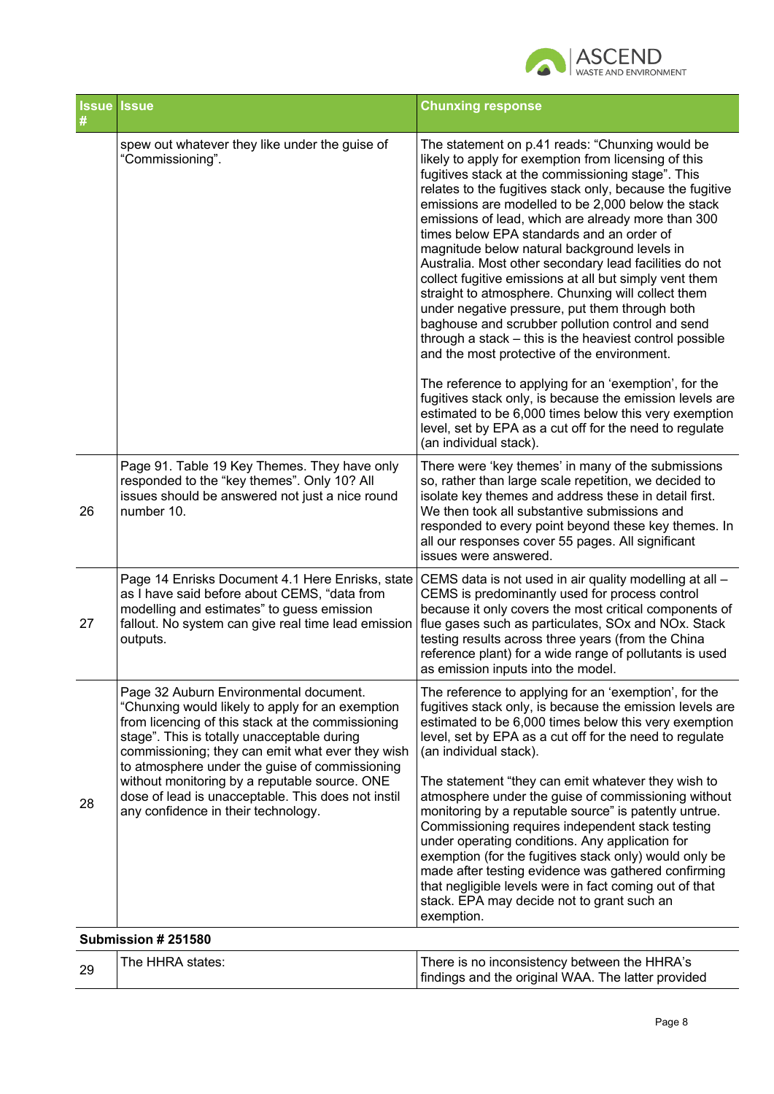

| <b>Issue</b> | <b>Issue</b>                                                                                                                                                                                                                                                                                                                                                                                                                                       | <b>Chunxing response</b>                                                                                                                                                                                                                                                                                                                                                                                                                                                                                                                                                                                                                                                                                                                                                                                                                                                                                                                                                                                                                                                                        |
|--------------|----------------------------------------------------------------------------------------------------------------------------------------------------------------------------------------------------------------------------------------------------------------------------------------------------------------------------------------------------------------------------------------------------------------------------------------------------|-------------------------------------------------------------------------------------------------------------------------------------------------------------------------------------------------------------------------------------------------------------------------------------------------------------------------------------------------------------------------------------------------------------------------------------------------------------------------------------------------------------------------------------------------------------------------------------------------------------------------------------------------------------------------------------------------------------------------------------------------------------------------------------------------------------------------------------------------------------------------------------------------------------------------------------------------------------------------------------------------------------------------------------------------------------------------------------------------|
|              | spew out whatever they like under the guise of<br>"Commissioning".                                                                                                                                                                                                                                                                                                                                                                                 | The statement on p.41 reads: "Chunxing would be<br>likely to apply for exemption from licensing of this<br>fugitives stack at the commissioning stage". This<br>relates to the fugitives stack only, because the fugitive<br>emissions are modelled to be 2,000 below the stack<br>emissions of lead, which are already more than 300<br>times below EPA standards and an order of<br>magnitude below natural background levels in<br>Australia. Most other secondary lead facilities do not<br>collect fugitive emissions at all but simply vent them<br>straight to atmosphere. Chunxing will collect them<br>under negative pressure, put them through both<br>baghouse and scrubber pollution control and send<br>through a stack – this is the heaviest control possible<br>and the most protective of the environment.<br>The reference to applying for an 'exemption', for the<br>fugitives stack only, is because the emission levels are<br>estimated to be 6,000 times below this very exemption<br>level, set by EPA as a cut off for the need to regulate<br>(an individual stack). |
| 26           | Page 91. Table 19 Key Themes. They have only<br>responded to the "key themes". Only 10? All<br>issues should be answered not just a nice round<br>number 10.                                                                                                                                                                                                                                                                                       | There were 'key themes' in many of the submissions<br>so, rather than large scale repetition, we decided to<br>isolate key themes and address these in detail first.<br>We then took all substantive submissions and<br>responded to every point beyond these key themes. In<br>all our responses cover 55 pages. All significant<br>issues were answered.                                                                                                                                                                                                                                                                                                                                                                                                                                                                                                                                                                                                                                                                                                                                      |
| 27           | Page 14 Enrisks Document 4.1 Here Enrisks, state<br>as I have said before about CEMS, "data from<br>modelling and estimates" to guess emission<br>fallout. No system can give real time lead emission<br>outputs.                                                                                                                                                                                                                                  | CEMS data is not used in air quality modelling at all -<br>CEMS is predominantly used for process control<br>because it only covers the most critical components of<br>flue gases such as particulates, SOx and NOx. Stack<br>testing results across three years (from the China<br>reference plant) for a wide range of pollutants is used<br>as emission inputs into the model.                                                                                                                                                                                                                                                                                                                                                                                                                                                                                                                                                                                                                                                                                                               |
| 28           | Page 32 Auburn Environmental document.<br>"Chunxing would likely to apply for an exemption<br>from licencing of this stack at the commissioning<br>stage". This is totally unacceptable during<br>commissioning; they can emit what ever they wish<br>to atmosphere under the guise of commissioning<br>without monitoring by a reputable source. ONE<br>dose of lead is unacceptable. This does not instil<br>any confidence in their technology. | The reference to applying for an 'exemption', for the<br>fugitives stack only, is because the emission levels are<br>estimated to be 6,000 times below this very exemption<br>level, set by EPA as a cut off for the need to regulate<br>(an individual stack).<br>The statement "they can emit whatever they wish to<br>atmosphere under the guise of commissioning without<br>monitoring by a reputable source" is patently untrue.<br>Commissioning requires independent stack testing<br>under operating conditions. Any application for<br>exemption (for the fugitives stack only) would only be<br>made after testing evidence was gathered confirming<br>that negligible levels were in fact coming out of that<br>stack. EPA may decide not to grant such an<br>exemption.                                                                                                                                                                                                                                                                                                             |
|              | Submission # 251580                                                                                                                                                                                                                                                                                                                                                                                                                                |                                                                                                                                                                                                                                                                                                                                                                                                                                                                                                                                                                                                                                                                                                                                                                                                                                                                                                                                                                                                                                                                                                 |
|              |                                                                                                                                                                                                                                                                                                                                                                                                                                                    |                                                                                                                                                                                                                                                                                                                                                                                                                                                                                                                                                                                                                                                                                                                                                                                                                                                                                                                                                                                                                                                                                                 |

| The HHRA states: | There is no inconsistency between the HHRA's       |
|------------------|----------------------------------------------------|
|                  | findings and the original WAA. The latter provided |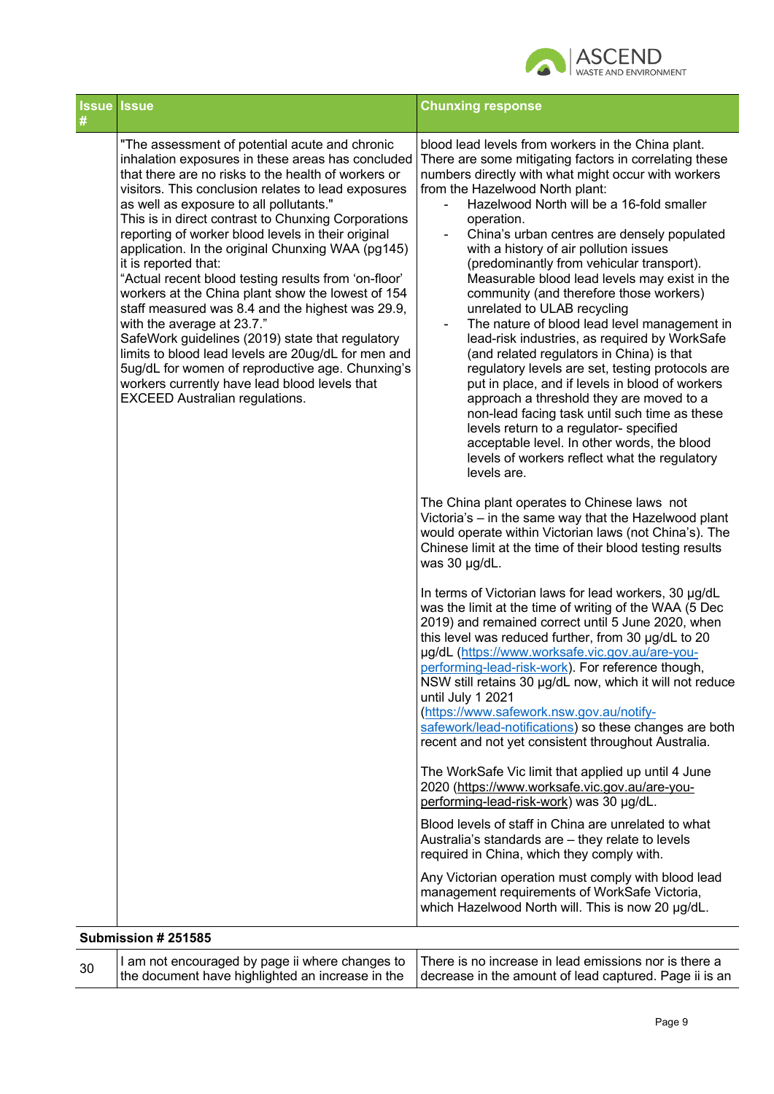

| <b>Issue Issue</b><br># |                                                                                                                                                                                                                                                                                                                                                                                                                                                                                                                                                                                                                                                                                                                                                                                                                                                                                                                | <b>Chunxing response</b>                                                                                                                                                                                                                                                                                                                                                                                                                                                                                                                                                                                                                                                                                                                                                                                                                                                                                                                                                                                                                                                                                                                                                                                                                                                                                                                                                                                                                                                                                                                                                                                                                                                                                                                                                                                                                                                                                                                                                                                                                                                                                                                                                                                                         |
|-------------------------|----------------------------------------------------------------------------------------------------------------------------------------------------------------------------------------------------------------------------------------------------------------------------------------------------------------------------------------------------------------------------------------------------------------------------------------------------------------------------------------------------------------------------------------------------------------------------------------------------------------------------------------------------------------------------------------------------------------------------------------------------------------------------------------------------------------------------------------------------------------------------------------------------------------|----------------------------------------------------------------------------------------------------------------------------------------------------------------------------------------------------------------------------------------------------------------------------------------------------------------------------------------------------------------------------------------------------------------------------------------------------------------------------------------------------------------------------------------------------------------------------------------------------------------------------------------------------------------------------------------------------------------------------------------------------------------------------------------------------------------------------------------------------------------------------------------------------------------------------------------------------------------------------------------------------------------------------------------------------------------------------------------------------------------------------------------------------------------------------------------------------------------------------------------------------------------------------------------------------------------------------------------------------------------------------------------------------------------------------------------------------------------------------------------------------------------------------------------------------------------------------------------------------------------------------------------------------------------------------------------------------------------------------------------------------------------------------------------------------------------------------------------------------------------------------------------------------------------------------------------------------------------------------------------------------------------------------------------------------------------------------------------------------------------------------------------------------------------------------------------------------------------------------------|
|                         | "The assessment of potential acute and chronic<br>inhalation exposures in these areas has concluded<br>that there are no risks to the health of workers or<br>visitors. This conclusion relates to lead exposures<br>as well as exposure to all pollutants."<br>This is in direct contrast to Chunxing Corporations<br>reporting of worker blood levels in their original<br>application. In the original Chunxing WAA (pg145)<br>it is reported that:<br>"Actual recent blood testing results from 'on-floor'<br>workers at the China plant show the lowest of 154<br>staff measured was 8.4 and the highest was 29.9,<br>with the average at 23.7."<br>SafeWork guidelines (2019) state that regulatory<br>limits to blood lead levels are 20ug/dL for men and<br>5ug/dL for women of reproductive age. Chunxing's<br>workers currently have lead blood levels that<br><b>EXCEED Australian regulations.</b> | blood lead levels from workers in the China plant.<br>There are some mitigating factors in correlating these<br>numbers directly with what might occur with workers<br>from the Hazelwood North plant:<br>Hazelwood North will be a 16-fold smaller<br>operation.<br>China's urban centres are densely populated<br>with a history of air pollution issues<br>(predominantly from vehicular transport).<br>Measurable blood lead levels may exist in the<br>community (and therefore those workers)<br>unrelated to ULAB recycling<br>The nature of blood lead level management in<br>$\overline{\phantom{a}}$<br>lead-risk industries, as required by WorkSafe<br>(and related regulators in China) is that<br>regulatory levels are set, testing protocols are<br>put in place, and if levels in blood of workers<br>approach a threshold they are moved to a<br>non-lead facing task until such time as these<br>levels return to a regulator- specified<br>acceptable level. In other words, the blood<br>levels of workers reflect what the regulatory<br>levels are.<br>The China plant operates to Chinese laws not<br>Victoria's - in the same way that the Hazelwood plant<br>would operate within Victorian laws (not China's). The<br>Chinese limit at the time of their blood testing results<br>was 30 µg/dL.<br>In terms of Victorian laws for lead workers, 30 µg/dL<br>was the limit at the time of writing of the WAA (5 Dec<br>2019) and remained correct until 5 June 2020, when<br>this level was reduced further, from 30 µg/dL to 20<br>µg/dL (https://www.worksafe.vic.gov.au/are-you-<br>performing-lead-risk-work). For reference though,<br>NSW still retains 30 µg/dL now, which it will not reduce<br>until July 1 2021<br>(https://www.safework.nsw.gov.au/notify-<br>safework/lead-notifications) so these changes are both<br>recent and not yet consistent throughout Australia.<br>The WorkSafe Vic limit that applied up until 4 June<br>2020 (https://www.worksafe.vic.gov.au/are-you-<br>performing-lead-risk-work) was 30 µg/dL.<br>Blood levels of staff in China are unrelated to what<br>Australia's standards are - they relate to levels<br>required in China, which they comply with. |
|                         |                                                                                                                                                                                                                                                                                                                                                                                                                                                                                                                                                                                                                                                                                                                                                                                                                                                                                                                | Any Victorian operation must comply with blood lead<br>management requirements of WorkSafe Victoria,<br>which Hazelwood North will. This is now 20 µg/dL.                                                                                                                                                                                                                                                                                                                                                                                                                                                                                                                                                                                                                                                                                                                                                                                                                                                                                                                                                                                                                                                                                                                                                                                                                                                                                                                                                                                                                                                                                                                                                                                                                                                                                                                                                                                                                                                                                                                                                                                                                                                                        |
|                         | Submission # 251585                                                                                                                                                                                                                                                                                                                                                                                                                                                                                                                                                                                                                                                                                                                                                                                                                                                                                            |                                                                                                                                                                                                                                                                                                                                                                                                                                                                                                                                                                                                                                                                                                                                                                                                                                                                                                                                                                                                                                                                                                                                                                                                                                                                                                                                                                                                                                                                                                                                                                                                                                                                                                                                                                                                                                                                                                                                                                                                                                                                                                                                                                                                                                  |
| 30                      | I am not encouraged by page ii where changes to<br>the document have highlighted an increase in the                                                                                                                                                                                                                                                                                                                                                                                                                                                                                                                                                                                                                                                                                                                                                                                                            | There is no increase in lead emissions nor is there a<br>decrease in the amount of lead captured. Page ii is an                                                                                                                                                                                                                                                                                                                                                                                                                                                                                                                                                                                                                                                                                                                                                                                                                                                                                                                                                                                                                                                                                                                                                                                                                                                                                                                                                                                                                                                                                                                                                                                                                                                                                                                                                                                                                                                                                                                                                                                                                                                                                                                  |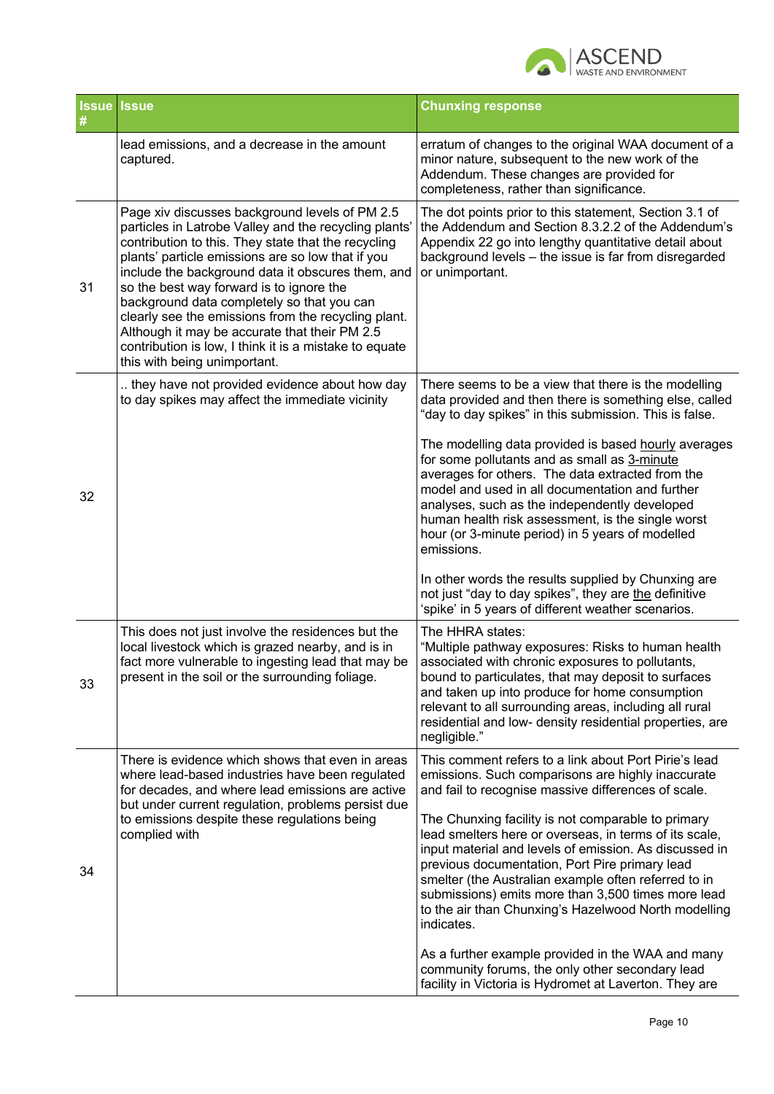

|    | <b>Issue Issue</b>                                                                                                                                                                                                                                                                                                                                                                                                                                                                                                                                                   | <b>Chunxing response</b>                                                                                                                                                                                                                                                                                                                                                                                     |
|----|----------------------------------------------------------------------------------------------------------------------------------------------------------------------------------------------------------------------------------------------------------------------------------------------------------------------------------------------------------------------------------------------------------------------------------------------------------------------------------------------------------------------------------------------------------------------|--------------------------------------------------------------------------------------------------------------------------------------------------------------------------------------------------------------------------------------------------------------------------------------------------------------------------------------------------------------------------------------------------------------|
|    | lead emissions, and a decrease in the amount<br>captured.                                                                                                                                                                                                                                                                                                                                                                                                                                                                                                            | erratum of changes to the original WAA document of a<br>minor nature, subsequent to the new work of the<br>Addendum. These changes are provided for<br>completeness, rather than significance.                                                                                                                                                                                                               |
| 31 | Page xiv discusses background levels of PM 2.5<br>particles in Latrobe Valley and the recycling plants'<br>contribution to this. They state that the recycling<br>plants' particle emissions are so low that if you<br>include the background data it obscures them, and<br>so the best way forward is to ignore the<br>background data completely so that you can<br>clearly see the emissions from the recycling plant.<br>Although it may be accurate that their PM 2.5<br>contribution is low, I think it is a mistake to equate<br>this with being unimportant. | The dot points prior to this statement, Section 3.1 of<br>the Addendum and Section 8.3.2.2 of the Addendum's<br>Appendix 22 go into lengthy quantitative detail about<br>background levels - the issue is far from disregarded<br>or unimportant.                                                                                                                                                            |
| 32 | they have not provided evidence about how day<br>to day spikes may affect the immediate vicinity                                                                                                                                                                                                                                                                                                                                                                                                                                                                     | There seems to be a view that there is the modelling<br>data provided and then there is something else, called<br>"day to day spikes" in this submission. This is false.                                                                                                                                                                                                                                     |
|    |                                                                                                                                                                                                                                                                                                                                                                                                                                                                                                                                                                      | The modelling data provided is based hourly averages<br>for some pollutants and as small as 3-minute<br>averages for others. The data extracted from the<br>model and used in all documentation and further<br>analyses, such as the independently developed<br>human health risk assessment, is the single worst<br>hour (or 3-minute period) in 5 years of modelled<br>emissions.                          |
|    |                                                                                                                                                                                                                                                                                                                                                                                                                                                                                                                                                                      | In other words the results supplied by Chunxing are<br>not just "day to day spikes", they are the definitive<br>'spike' in 5 years of different weather scenarios.                                                                                                                                                                                                                                           |
| 33 | This does not just involve the residences but the<br>local livestock which is grazed nearby, and is in<br>fact more vulnerable to ingesting lead that may be<br>present in the soil or the surrounding foliage.                                                                                                                                                                                                                                                                                                                                                      | The HHRA states:<br>"Multiple pathway exposures: Risks to human health<br>associated with chronic exposures to pollutants,<br>bound to particulates, that may deposit to surfaces<br>and taken up into produce for home consumption<br>relevant to all surrounding areas, including all rural<br>residential and low- density residential properties, are<br>negligible."                                    |
|    | There is evidence which shows that even in areas<br>where lead-based industries have been regulated<br>for decades, and where lead emissions are active<br>but under current regulation, problems persist due<br>to emissions despite these regulations being<br>complied with                                                                                                                                                                                                                                                                                       | This comment refers to a link about Port Pirie's lead<br>emissions. Such comparisons are highly inaccurate<br>and fail to recognise massive differences of scale.                                                                                                                                                                                                                                            |
| 34 |                                                                                                                                                                                                                                                                                                                                                                                                                                                                                                                                                                      | The Chunxing facility is not comparable to primary<br>lead smelters here or overseas, in terms of its scale,<br>input material and levels of emission. As discussed in<br>previous documentation, Port Pire primary lead<br>smelter (the Australian example often referred to in<br>submissions) emits more than 3,500 times more lead<br>to the air than Chunxing's Hazelwood North modelling<br>indicates. |
|    |                                                                                                                                                                                                                                                                                                                                                                                                                                                                                                                                                                      | As a further example provided in the WAA and many<br>community forums, the only other secondary lead<br>facility in Victoria is Hydromet at Laverton. They are                                                                                                                                                                                                                                               |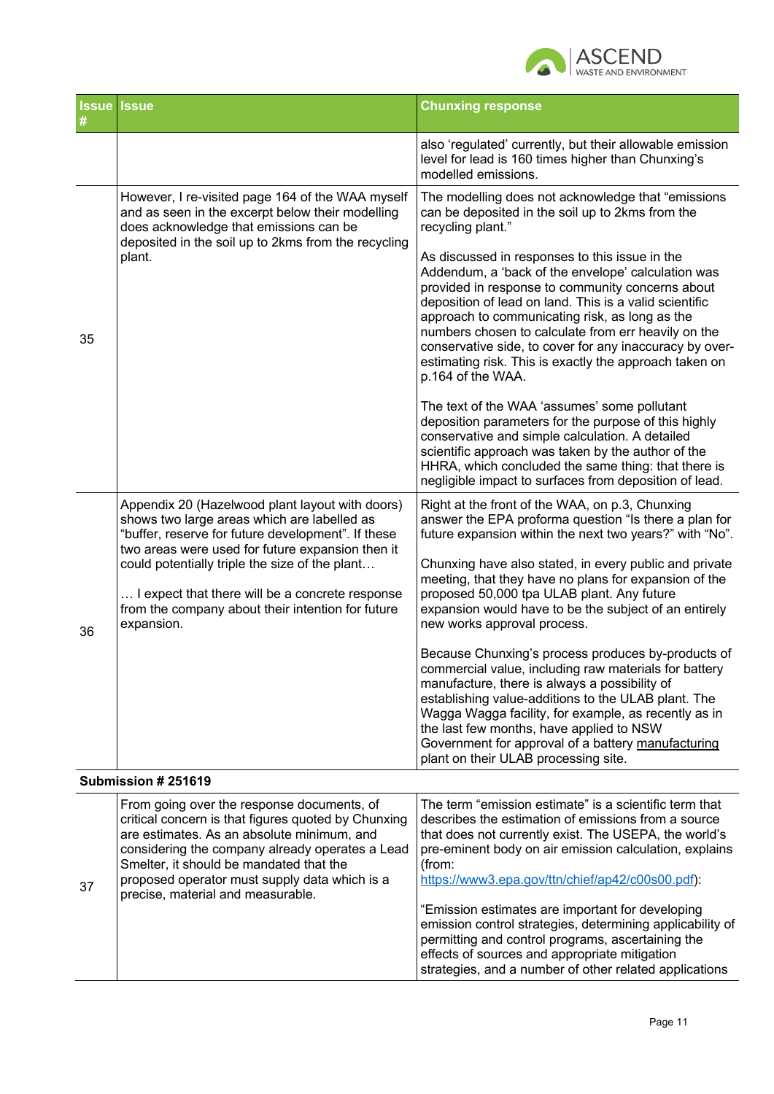

|    | <b>Issue Issue</b>                                                                                                                                                                                                                                                                                                                                                               | <b>Chunxing response</b>                                                                                                                                                                                                                                                                                                                                                                                                                                                                                                                                                                                                                                                                                                                                                                                                                                                                                        |
|----|----------------------------------------------------------------------------------------------------------------------------------------------------------------------------------------------------------------------------------------------------------------------------------------------------------------------------------------------------------------------------------|-----------------------------------------------------------------------------------------------------------------------------------------------------------------------------------------------------------------------------------------------------------------------------------------------------------------------------------------------------------------------------------------------------------------------------------------------------------------------------------------------------------------------------------------------------------------------------------------------------------------------------------------------------------------------------------------------------------------------------------------------------------------------------------------------------------------------------------------------------------------------------------------------------------------|
|    |                                                                                                                                                                                                                                                                                                                                                                                  | also 'regulated' currently, but their allowable emission<br>level for lead is 160 times higher than Chunxing's<br>modelled emissions.                                                                                                                                                                                                                                                                                                                                                                                                                                                                                                                                                                                                                                                                                                                                                                           |
| 35 | However, I re-visited page 164 of the WAA myself<br>and as seen in the excerpt below their modelling<br>does acknowledge that emissions can be<br>deposited in the soil up to 2kms from the recycling<br>plant.                                                                                                                                                                  | The modelling does not acknowledge that "emissions<br>can be deposited in the soil up to 2kms from the<br>recycling plant."<br>As discussed in responses to this issue in the<br>Addendum, a 'back of the envelope' calculation was<br>provided in response to community concerns about<br>deposition of lead on land. This is a valid scientific<br>approach to communicating risk, as long as the<br>numbers chosen to calculate from err heavily on the<br>conservative side, to cover for any inaccuracy by over-<br>estimating risk. This is exactly the approach taken on<br>p.164 of the WAA.<br>The text of the WAA 'assumes' some pollutant<br>deposition parameters for the purpose of this highly<br>conservative and simple calculation. A detailed<br>scientific approach was taken by the author of the<br>HHRA, which concluded the same thing: that there is                                    |
| 36 | Appendix 20 (Hazelwood plant layout with doors)<br>shows two large areas which are labelled as<br>"buffer, reserve for future development". If these<br>two areas were used for future expansion then it<br>could potentially triple the size of the plant<br>I expect that there will be a concrete response<br>from the company about their intention for future<br>expansion. | negligible impact to surfaces from deposition of lead.<br>Right at the front of the WAA, on p.3, Chunxing<br>answer the EPA proforma question "Is there a plan for<br>future expansion within the next two years?" with "No".<br>Chunxing have also stated, in every public and private<br>meeting, that they have no plans for expansion of the<br>proposed 50,000 tpa ULAB plant. Any future<br>expansion would have to be the subject of an entirely<br>new works approval process.<br>Because Chunxing's process produces by-products of<br>commercial value, including raw materials for battery<br>manufacture, there is always a possibility of<br>establishing value-additions to the ULAB plant. The<br>Wagga Wagga facility, for example, as recently as in<br>the last few months, have applied to NSW<br>Government for approval of a battery manufacturing<br>plant on their ULAB processing site. |
|    | Submission # 251619                                                                                                                                                                                                                                                                                                                                                              |                                                                                                                                                                                                                                                                                                                                                                                                                                                                                                                                                                                                                                                                                                                                                                                                                                                                                                                 |

| 37 | From going over the response documents, of<br>critical concern is that figures quoted by Chunxing<br>are estimates. As an absolute minimum, and<br>considering the company already operates a Lead<br>Smelter, it should be mandated that the<br>proposed operator must supply data which is a<br>precise, material and measurable. | The term "emission estimate" is a scientific term that<br>describes the estimation of emissions from a source<br>that does not currently exist. The USEPA, the world's<br>pre-eminent body on air emission calculation, explains<br>(from:<br>https://www3.epa.gov/ttn/chief/ap42/c00s00.pdf):<br>"Emission estimates are important for developing |
|----|-------------------------------------------------------------------------------------------------------------------------------------------------------------------------------------------------------------------------------------------------------------------------------------------------------------------------------------|----------------------------------------------------------------------------------------------------------------------------------------------------------------------------------------------------------------------------------------------------------------------------------------------------------------------------------------------------|
|    |                                                                                                                                                                                                                                                                                                                                     | emission control strategies, determining applicability of<br>permitting and control programs, ascertaining the<br>effects of sources and appropriate mitigation<br>strategies, and a number of other related applications                                                                                                                          |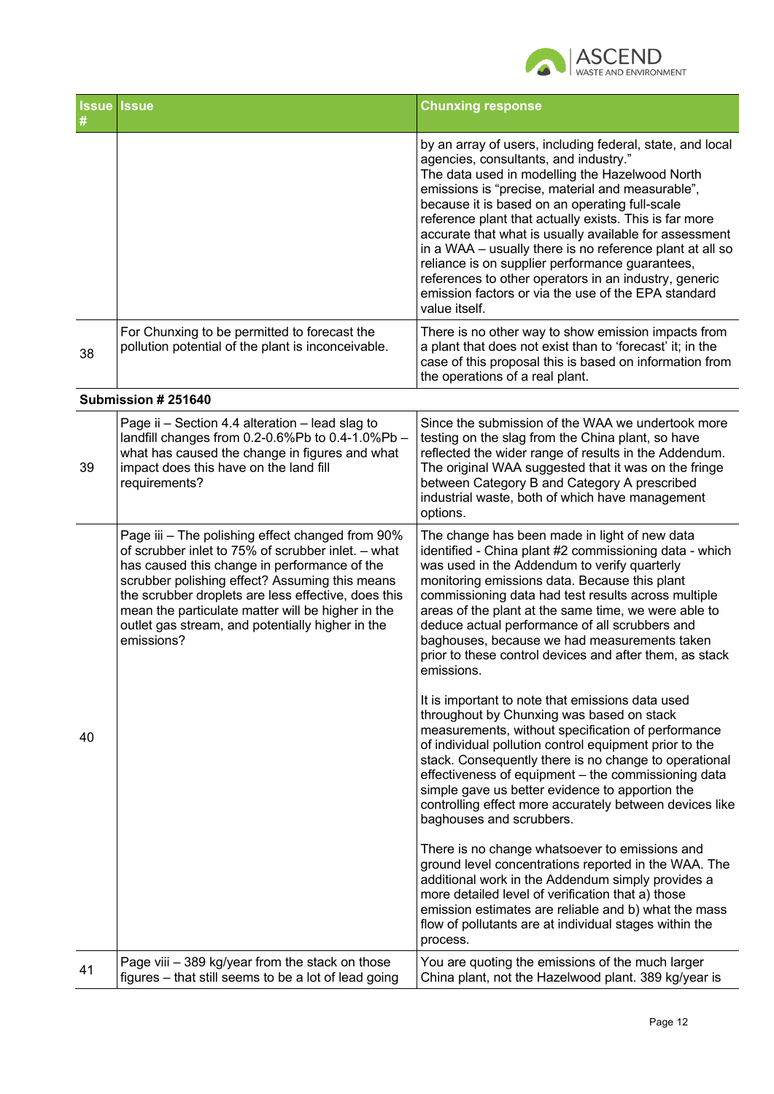

| #  | <b>Issue Issue</b>                                                                                                                                                                                                                                                                                                                                                                     | <b>Chunxing response</b>                                                                                                                                                                                                                                                                                                                                                                                                                                                                                                                                                                                                       |
|----|----------------------------------------------------------------------------------------------------------------------------------------------------------------------------------------------------------------------------------------------------------------------------------------------------------------------------------------------------------------------------------------|--------------------------------------------------------------------------------------------------------------------------------------------------------------------------------------------------------------------------------------------------------------------------------------------------------------------------------------------------------------------------------------------------------------------------------------------------------------------------------------------------------------------------------------------------------------------------------------------------------------------------------|
|    |                                                                                                                                                                                                                                                                                                                                                                                        | by an array of users, including federal, state, and local<br>agencies, consultants, and industry."<br>The data used in modelling the Hazelwood North<br>emissions is "precise, material and measurable",<br>because it is based on an operating full-scale<br>reference plant that actually exists. This is far more<br>accurate that what is usually available for assessment<br>in a WAA - usually there is no reference plant at all so<br>reliance is on supplier performance guarantees,<br>references to other operators in an industry, generic<br>emission factors or via the use of the EPA standard<br>value itself. |
| 38 | For Chunxing to be permitted to forecast the<br>pollution potential of the plant is inconceivable.                                                                                                                                                                                                                                                                                     | There is no other way to show emission impacts from<br>a plant that does not exist than to 'forecast' it; in the<br>case of this proposal this is based on information from<br>the operations of a real plant.                                                                                                                                                                                                                                                                                                                                                                                                                 |
|    | Submission # 251640                                                                                                                                                                                                                                                                                                                                                                    |                                                                                                                                                                                                                                                                                                                                                                                                                                                                                                                                                                                                                                |
| 39 | Page ii - Section 4.4 alteration - lead slag to<br>landfill changes from 0.2-0.6%Pb to 0.4-1.0%Pb -<br>what has caused the change in figures and what<br>impact does this have on the land fill<br>requirements?                                                                                                                                                                       | Since the submission of the WAA we undertook more<br>testing on the slag from the China plant, so have<br>reflected the wider range of results in the Addendum.<br>The original WAA suggested that it was on the fringe<br>between Category B and Category A prescribed<br>industrial waste, both of which have management<br>options.                                                                                                                                                                                                                                                                                         |
| 40 | Page iii - The polishing effect changed from 90%<br>of scrubber inlet to 75% of scrubber inlet. - what<br>has caused this change in performance of the<br>scrubber polishing effect? Assuming this means<br>the scrubber droplets are less effective, does this<br>mean the particulate matter will be higher in the<br>outlet gas stream, and potentially higher in the<br>emissions? | The change has been made in light of new data<br>identified - China plant #2 commissioning data - which<br>was used in the Addendum to verify quarterly<br>monitoring emissions data. Because this plant<br>commissioning data had test results across multiple<br>areas of the plant at the same time, we were able to<br>deduce actual performance of all scrubbers and<br>baghouses, because we had measurements taken<br>prior to these control devices and after them, as stack<br>emissions.                                                                                                                             |
|    |                                                                                                                                                                                                                                                                                                                                                                                        | It is important to note that emissions data used<br>throughout by Chunxing was based on stack<br>measurements, without specification of performance<br>of individual pollution control equipment prior to the<br>stack. Consequently there is no change to operational<br>effectiveness of equipment - the commissioning data<br>simple gave us better evidence to apportion the<br>controlling effect more accurately between devices like<br>baghouses and scrubbers.                                                                                                                                                        |
|    |                                                                                                                                                                                                                                                                                                                                                                                        | There is no change whatsoever to emissions and<br>ground level concentrations reported in the WAA. The<br>additional work in the Addendum simply provides a<br>more detailed level of verification that a) those<br>emission estimates are reliable and b) what the mass<br>flow of pollutants are at individual stages within the<br>process.                                                                                                                                                                                                                                                                                 |
| 41 | Page viii - 389 kg/year from the stack on those<br>figures - that still seems to be a lot of lead going                                                                                                                                                                                                                                                                                | You are quoting the emissions of the much larger<br>China plant, not the Hazelwood plant. 389 kg/year is                                                                                                                                                                                                                                                                                                                                                                                                                                                                                                                       |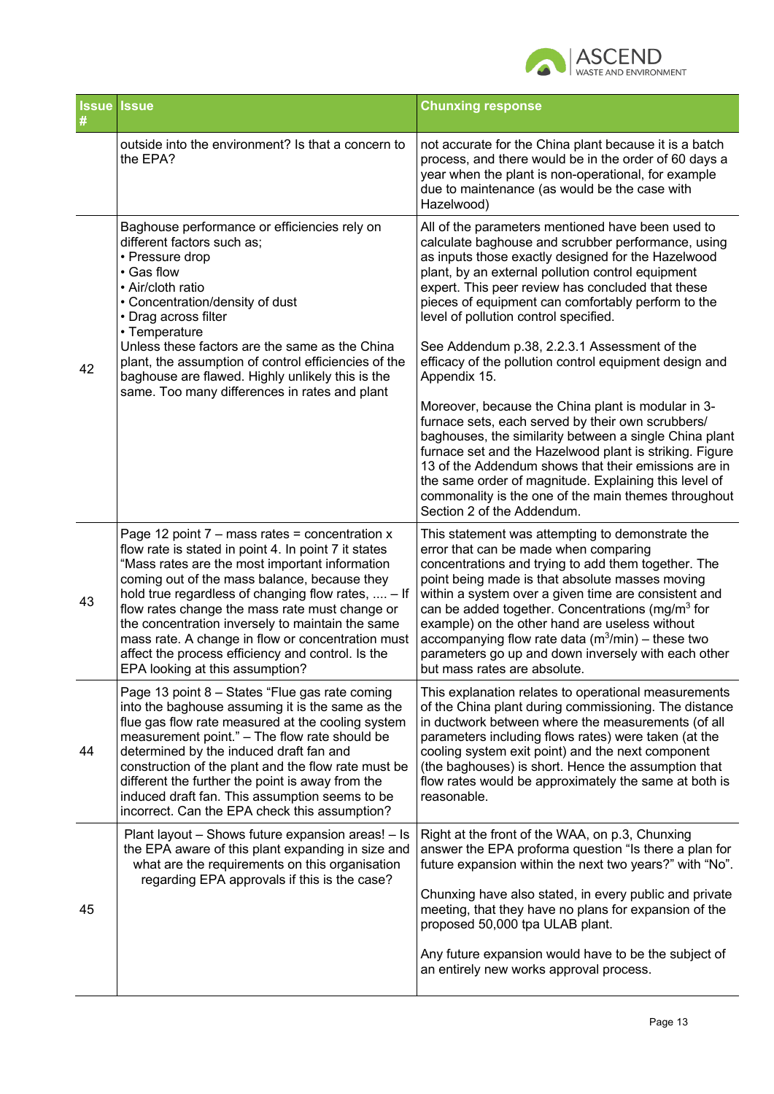

|    | <b>Issue Issue</b>                                                                                                                                                                                                                                                                                                                                                                                                                                                                                                  | <b>Chunxing response</b>                                                                                                                                                                                                                                                                                                                                                                                                                                                                                                    |
|----|---------------------------------------------------------------------------------------------------------------------------------------------------------------------------------------------------------------------------------------------------------------------------------------------------------------------------------------------------------------------------------------------------------------------------------------------------------------------------------------------------------------------|-----------------------------------------------------------------------------------------------------------------------------------------------------------------------------------------------------------------------------------------------------------------------------------------------------------------------------------------------------------------------------------------------------------------------------------------------------------------------------------------------------------------------------|
|    | outside into the environment? Is that a concern to<br>the EPA?                                                                                                                                                                                                                                                                                                                                                                                                                                                      | not accurate for the China plant because it is a batch<br>process, and there would be in the order of 60 days a<br>year when the plant is non-operational, for example<br>due to maintenance (as would be the case with<br>Hazelwood)                                                                                                                                                                                                                                                                                       |
|    | Baghouse performance or efficiencies rely on<br>different factors such as;<br>• Pressure drop<br>• Gas flow<br>• Air/cloth ratio<br>• Concentration/density of dust<br>• Drag across filter<br>• Temperature                                                                                                                                                                                                                                                                                                        | All of the parameters mentioned have been used to<br>calculate baghouse and scrubber performance, using<br>as inputs those exactly designed for the Hazelwood<br>plant, by an external pollution control equipment<br>expert. This peer review has concluded that these<br>pieces of equipment can comfortably perform to the<br>level of pollution control specified.                                                                                                                                                      |
| 42 | Unless these factors are the same as the China<br>plant, the assumption of control efficiencies of the<br>baghouse are flawed. Highly unlikely this is the<br>same. Too many differences in rates and plant                                                                                                                                                                                                                                                                                                         | See Addendum p.38, 2.2.3.1 Assessment of the<br>efficacy of the pollution control equipment design and<br>Appendix 15.                                                                                                                                                                                                                                                                                                                                                                                                      |
|    |                                                                                                                                                                                                                                                                                                                                                                                                                                                                                                                     | Moreover, because the China plant is modular in 3-<br>furnace sets, each served by their own scrubbers/<br>baghouses, the similarity between a single China plant<br>furnace set and the Hazelwood plant is striking. Figure<br>13 of the Addendum shows that their emissions are in<br>the same order of magnitude. Explaining this level of<br>commonality is the one of the main themes throughout<br>Section 2 of the Addendum.                                                                                         |
| 43 | Page 12 point $7 -$ mass rates = concentration x<br>flow rate is stated in point 4. In point 7 it states<br>"Mass rates are the most important information<br>coming out of the mass balance, because they<br>hold true regardless of changing flow rates,  - If<br>flow rates change the mass rate must change or<br>the concentration inversely to maintain the same<br>mass rate. A change in flow or concentration must<br>affect the process efficiency and control. Is the<br>EPA looking at this assumption? | This statement was attempting to demonstrate the<br>error that can be made when comparing<br>concentrations and trying to add them together. The<br>point being made is that absolute masses moving<br>within a system over a given time are consistent and<br>can be added together. Concentrations (mg/m <sup>3</sup> for<br>example) on the other hand are useless without<br>accompanying flow rate data $(m^3/min)$ – these two<br>parameters go up and down inversely with each other<br>but mass rates are absolute. |
| 44 | Page 13 point 8 - States "Flue gas rate coming<br>into the baghouse assuming it is the same as the<br>flue gas flow rate measured at the cooling system<br>measurement point." - The flow rate should be<br>determined by the induced draft fan and<br>construction of the plant and the flow rate must be<br>different the further the point is away from the<br>induced draft fan. This assumption seems to be<br>incorrect. Can the EPA check this assumption?                                                   | This explanation relates to operational measurements<br>of the China plant during commissioning. The distance<br>in ductwork between where the measurements (of all<br>parameters including flows rates) were taken (at the<br>cooling system exit point) and the next component<br>(the baghouses) is short. Hence the assumption that<br>flow rates would be approximately the same at both is<br>reasonable.                                                                                                             |
| 45 | Plant layout - Shows future expansion areas! - Is<br>the EPA aware of this plant expanding in size and<br>what are the requirements on this organisation<br>regarding EPA approvals if this is the case?                                                                                                                                                                                                                                                                                                            | Right at the front of the WAA, on p.3, Chunxing<br>answer the EPA proforma question "Is there a plan for<br>future expansion within the next two years?" with "No".                                                                                                                                                                                                                                                                                                                                                         |
|    |                                                                                                                                                                                                                                                                                                                                                                                                                                                                                                                     | Chunxing have also stated, in every public and private<br>meeting, that they have no plans for expansion of the<br>proposed 50,000 tpa ULAB plant.                                                                                                                                                                                                                                                                                                                                                                          |
|    |                                                                                                                                                                                                                                                                                                                                                                                                                                                                                                                     | Any future expansion would have to be the subject of<br>an entirely new works approval process.                                                                                                                                                                                                                                                                                                                                                                                                                             |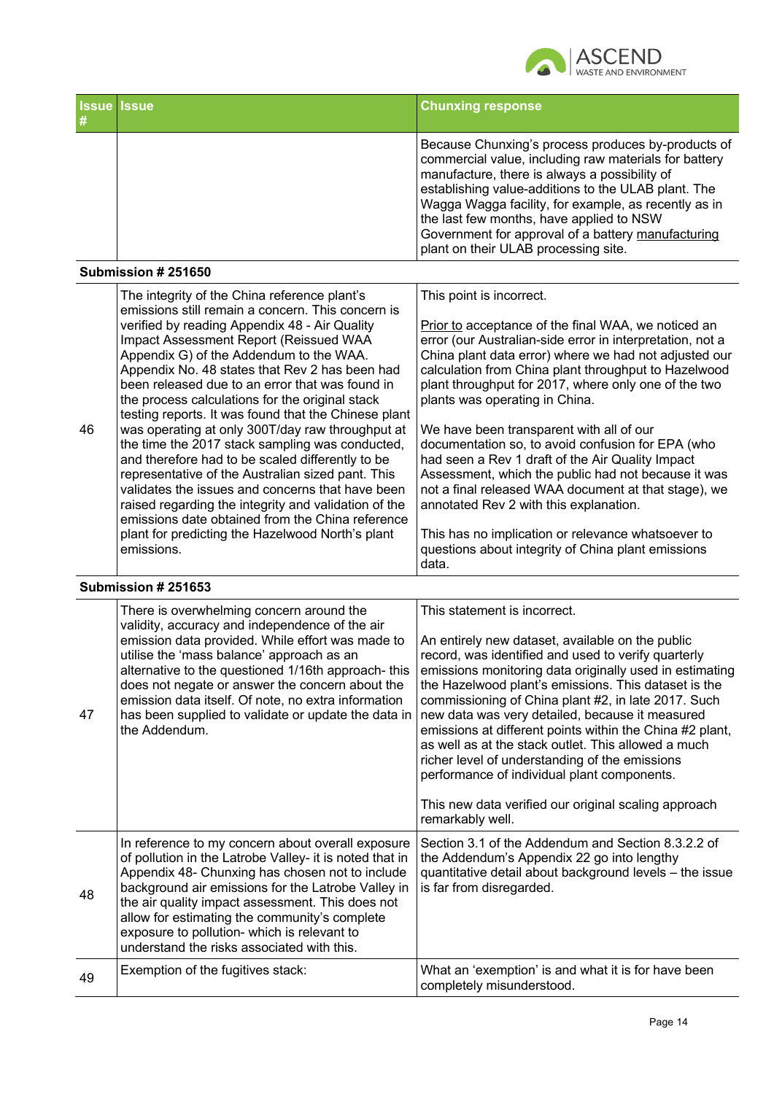

| <b>Issue Issue</b> | <b>Chunxing response</b>                                                                                                                                                                                                                                                                                                                                                                                              |
|--------------------|-----------------------------------------------------------------------------------------------------------------------------------------------------------------------------------------------------------------------------------------------------------------------------------------------------------------------------------------------------------------------------------------------------------------------|
|                    | Because Chunxing's process produces by-products of<br>commercial value, including raw materials for battery<br>manufacture, there is always a possibility of<br>establishing value-additions to the ULAB plant. The<br>Wagga Wagga facility, for example, as recently as in<br>the last few months, have applied to NSW<br>Government for approval of a battery manufacturing<br>plant on their ULAB processing site. |

#### **Submission # 251650**

|    | The integrity of the China reference plant's<br>emissions still remain a concern. This concern is                                                                                                                                                                                                                                                                            | This point is incorrect.                                                                                                                                                                                                                                                                                                    |
|----|------------------------------------------------------------------------------------------------------------------------------------------------------------------------------------------------------------------------------------------------------------------------------------------------------------------------------------------------------------------------------|-----------------------------------------------------------------------------------------------------------------------------------------------------------------------------------------------------------------------------------------------------------------------------------------------------------------------------|
|    | verified by reading Appendix 48 - Air Quality<br>Impact Assessment Report (Reissued WAA<br>Appendix G) of the Addendum to the WAA.<br>Appendix No. 48 states that Rev 2 has been had<br>been released due to an error that was found in<br>the process calculations for the original stack<br>testing reports. It was found that the Chinese plant                           | Prior to acceptance of the final WAA, we noticed an<br>error (our Australian-side error in interpretation, not a<br>China plant data error) where we had not adjusted our<br>calculation from China plant throughput to Hazelwood<br>plant throughput for 2017, where only one of the two<br>plants was operating in China. |
| 46 | was operating at only 300T/day raw throughput at<br>the time the 2017 stack sampling was conducted,<br>and therefore had to be scaled differently to be<br>representative of the Australian sized pant. This<br>validates the issues and concerns that have been<br>raised regarding the integrity and validation of the<br>emissions date obtained from the China reference | We have been transparent with all of our<br>documentation so, to avoid confusion for EPA (who<br>had seen a Rev 1 draft of the Air Quality Impact<br>Assessment, which the public had not because it was<br>not a final released WAA document at that stage), we<br>annotated Rev 2 with this explanation.                  |
|    | plant for predicting the Hazelwood North's plant<br>emissions.                                                                                                                                                                                                                                                                                                               | This has no implication or relevance whatsoever to<br>questions about integrity of China plant emissions<br>data.                                                                                                                                                                                                           |

## **Submission # 251653**

| This has no implication or relevance whatsoever to<br>questions about integrity of China plant emissions<br>I data. |
|---------------------------------------------------------------------------------------------------------------------|
|                                                                                                                     |

| 47 | There is overwhelming concern around the<br>validity, accuracy and independence of the air<br>emission data provided. While effort was made to<br>utilise the 'mass balance' approach as an<br>alternative to the questioned 1/16th approach-this<br>does not negate or answer the concern about the<br>emission data itself. Of note, no extra information<br>has been supplied to validate or update the data in<br>the Addendum. | This statement is incorrect.<br>An entirely new dataset, available on the public<br>record, was identified and used to verify quarterly<br>emissions monitoring data originally used in estimating<br>the Hazelwood plant's emissions. This dataset is the<br>commissioning of China plant #2, in late 2017. Such<br>new data was very detailed, because it measured<br>emissions at different points within the China #2 plant,<br>as well as at the stack outlet. This allowed a much<br>richer level of understanding of the emissions<br>performance of individual plant components.<br>This new data verified our original scaling approach<br>remarkably well. |
|----|-------------------------------------------------------------------------------------------------------------------------------------------------------------------------------------------------------------------------------------------------------------------------------------------------------------------------------------------------------------------------------------------------------------------------------------|----------------------------------------------------------------------------------------------------------------------------------------------------------------------------------------------------------------------------------------------------------------------------------------------------------------------------------------------------------------------------------------------------------------------------------------------------------------------------------------------------------------------------------------------------------------------------------------------------------------------------------------------------------------------|
| 48 | In reference to my concern about overall exposure<br>of pollution in the Latrobe Valley- it is noted that in<br>Appendix 48- Chunxing has chosen not to include<br>background air emissions for the Latrobe Valley in<br>the air quality impact assessment. This does not<br>allow for estimating the community's complete<br>exposure to pollution- which is relevant to<br>understand the risks associated with this.             | Section 3.1 of the Addendum and Section 8.3.2.2 of<br>the Addendum's Appendix 22 go into lengthy<br>quantitative detail about background levels - the issue<br>is far from disregarded.                                                                                                                                                                                                                                                                                                                                                                                                                                                                              |
| 49 | Exemption of the fugitives stack:                                                                                                                                                                                                                                                                                                                                                                                                   | What an 'exemption' is and what it is for have been<br>completely misunderstood.                                                                                                                                                                                                                                                                                                                                                                                                                                                                                                                                                                                     |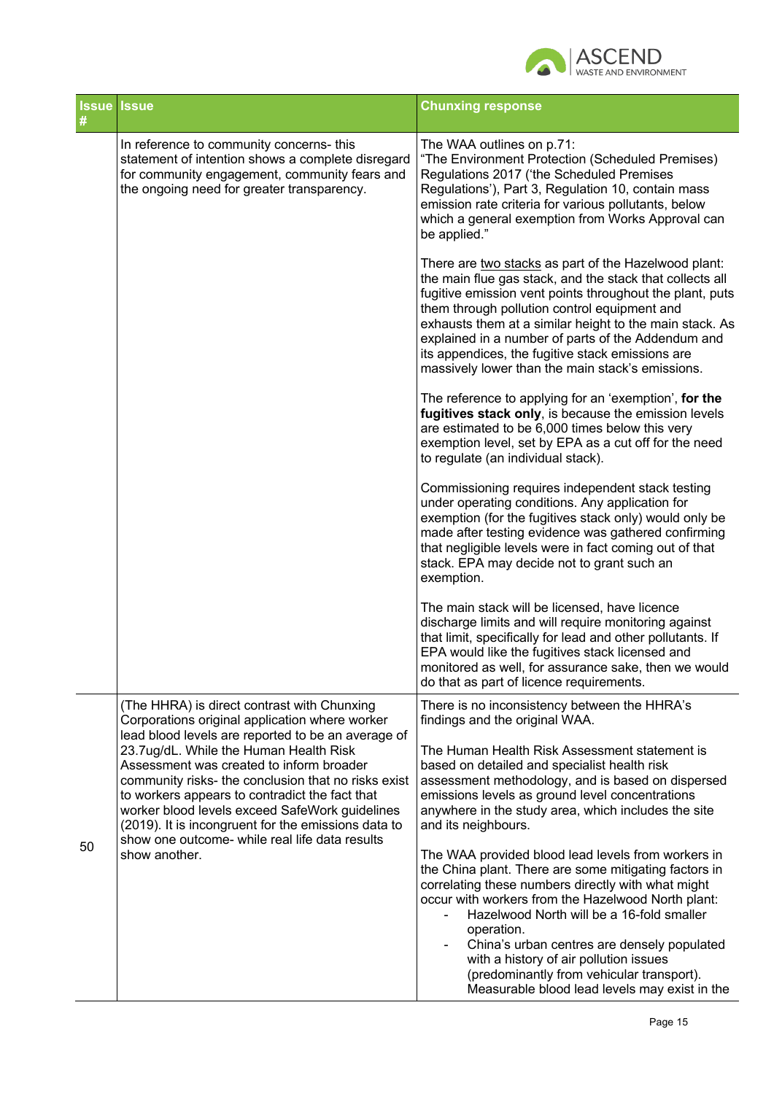

| <b>Issue Issue</b><br># |                                                                                                                                                                                                                                                                                                                                                                         | <b>Chunxing response</b>                                                                                                                                                                                                                                                                                                                                                                                                                              |
|-------------------------|-------------------------------------------------------------------------------------------------------------------------------------------------------------------------------------------------------------------------------------------------------------------------------------------------------------------------------------------------------------------------|-------------------------------------------------------------------------------------------------------------------------------------------------------------------------------------------------------------------------------------------------------------------------------------------------------------------------------------------------------------------------------------------------------------------------------------------------------|
|                         | In reference to community concerns- this<br>statement of intention shows a complete disregard<br>for community engagement, community fears and<br>the ongoing need for greater transparency.                                                                                                                                                                            | The WAA outlines on p.71:<br>"The Environment Protection (Scheduled Premises)<br>Regulations 2017 ('the Scheduled Premises<br>Regulations'), Part 3, Regulation 10, contain mass<br>emission rate criteria for various pollutants, below<br>which a general exemption from Works Approval can<br>be applied."                                                                                                                                         |
|                         |                                                                                                                                                                                                                                                                                                                                                                         | There are two stacks as part of the Hazelwood plant:<br>the main flue gas stack, and the stack that collects all<br>fugitive emission vent points throughout the plant, puts<br>them through pollution control equipment and<br>exhausts them at a similar height to the main stack. As<br>explained in a number of parts of the Addendum and<br>its appendices, the fugitive stack emissions are<br>massively lower than the main stack's emissions. |
|                         |                                                                                                                                                                                                                                                                                                                                                                         | The reference to applying for an 'exemption', for the<br>fugitives stack only, is because the emission levels<br>are estimated to be 6,000 times below this very<br>exemption level, set by EPA as a cut off for the need<br>to regulate (an individual stack).                                                                                                                                                                                       |
|                         |                                                                                                                                                                                                                                                                                                                                                                         | Commissioning requires independent stack testing<br>under operating conditions. Any application for<br>exemption (for the fugitives stack only) would only be<br>made after testing evidence was gathered confirming<br>that negligible levels were in fact coming out of that<br>stack. EPA may decide not to grant such an<br>exemption.                                                                                                            |
|                         |                                                                                                                                                                                                                                                                                                                                                                         | The main stack will be licensed, have licence<br>discharge limits and will require monitoring against<br>that limit, specifically for lead and other pollutants. If<br>EPA would like the fugitives stack licensed and<br>monitored as well, for assurance sake, then we would<br>do that as part of licence requirements.                                                                                                                            |
|                         | (The HHRA) is direct contrast with Chunxing<br>Corporations original application where worker<br>lead blood levels are reported to be an average of                                                                                                                                                                                                                     | There is no inconsistency between the HHRA's<br>findings and the original WAA.                                                                                                                                                                                                                                                                                                                                                                        |
| 50                      | 23.7ug/dL. While the Human Health Risk<br>Assessment was created to inform broader<br>community risks- the conclusion that no risks exist<br>to workers appears to contradict the fact that<br>worker blood levels exceed SafeWork guidelines<br>(2019). It is incongruent for the emissions data to<br>show one outcome- while real life data results<br>show another. | The Human Health Risk Assessment statement is<br>based on detailed and specialist health risk<br>assessment methodology, and is based on dispersed<br>emissions levels as ground level concentrations<br>anywhere in the study area, which includes the site<br>and its neighbours.                                                                                                                                                                   |
|                         |                                                                                                                                                                                                                                                                                                                                                                         | The WAA provided blood lead levels from workers in<br>the China plant. There are some mitigating factors in<br>correlating these numbers directly with what might<br>occur with workers from the Hazelwood North plant:<br>Hazelwood North will be a 16-fold smaller<br>operation.<br>China's urban centres are densely populated<br>$\overline{\phantom{0}}$<br>with a history of air pollution issues<br>(predominantly from vehicular transport).  |
|                         |                                                                                                                                                                                                                                                                                                                                                                         | Measurable blood lead levels may exist in the                                                                                                                                                                                                                                                                                                                                                                                                         |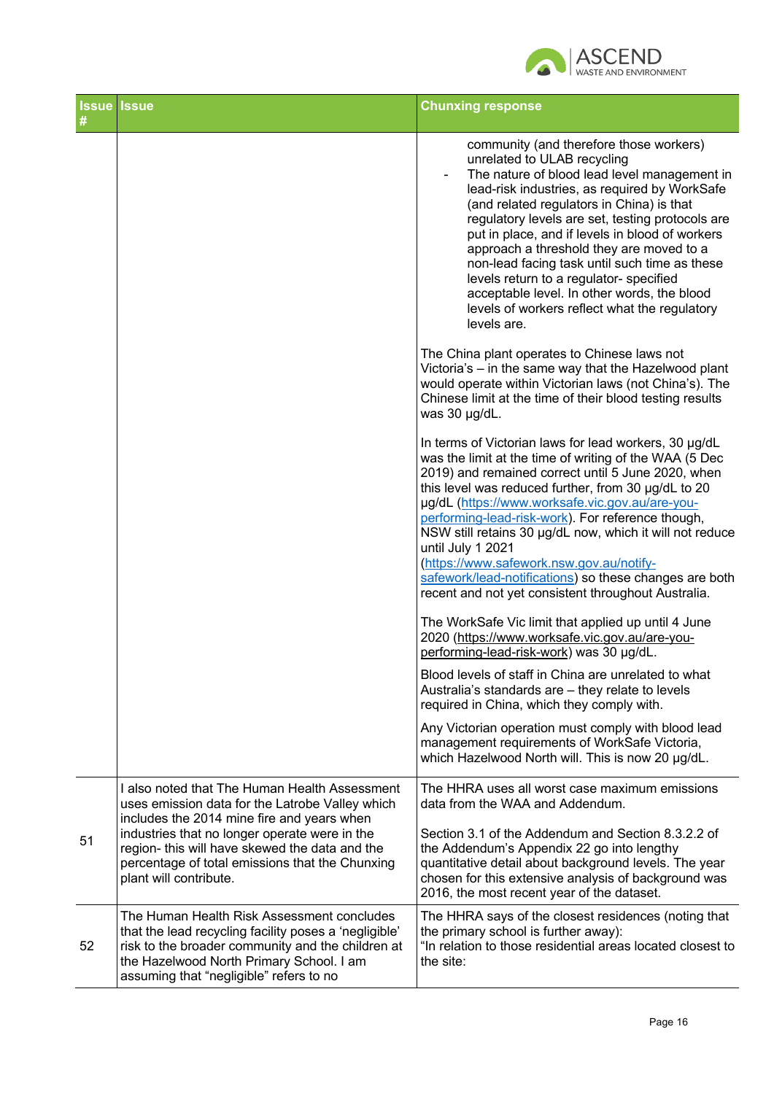

| #  | <b>Issue Issue</b>                                                                                                                                                                                                                                                                                                             | <b>Chunxing response</b>                                                                                                                                                                                                                                                                                                                                                                                                                                                                                                                                                                                       |
|----|--------------------------------------------------------------------------------------------------------------------------------------------------------------------------------------------------------------------------------------------------------------------------------------------------------------------------------|----------------------------------------------------------------------------------------------------------------------------------------------------------------------------------------------------------------------------------------------------------------------------------------------------------------------------------------------------------------------------------------------------------------------------------------------------------------------------------------------------------------------------------------------------------------------------------------------------------------|
|    |                                                                                                                                                                                                                                                                                                                                | community (and therefore those workers)<br>unrelated to ULAB recycling<br>The nature of blood lead level management in<br>$\overline{\phantom{a}}$<br>lead-risk industries, as required by WorkSafe<br>(and related regulators in China) is that<br>regulatory levels are set, testing protocols are<br>put in place, and if levels in blood of workers<br>approach a threshold they are moved to a<br>non-lead facing task until such time as these<br>levels return to a regulator- specified<br>acceptable level. In other words, the blood<br>levels of workers reflect what the regulatory<br>levels are. |
|    |                                                                                                                                                                                                                                                                                                                                | The China plant operates to Chinese laws not<br>Victoria's - in the same way that the Hazelwood plant<br>would operate within Victorian laws (not China's). The<br>Chinese limit at the time of their blood testing results<br>was 30 µg/dL.                                                                                                                                                                                                                                                                                                                                                                   |
|    |                                                                                                                                                                                                                                                                                                                                | In terms of Victorian laws for lead workers, 30 µg/dL<br>was the limit at the time of writing of the WAA (5 Dec<br>2019) and remained correct until 5 June 2020, when<br>this level was reduced further, from 30 µg/dL to 20<br>µg/dL (https://www.worksafe.vic.gov.au/are-you-<br>performing-lead-risk-work). For reference though,<br>NSW still retains 30 µg/dL now, which it will not reduce<br>until July 1 2021<br>(https://www.safework.nsw.gov.au/notify-<br>safework/lead-notifications) so these changes are both<br>recent and not yet consistent throughout Australia.                             |
|    |                                                                                                                                                                                                                                                                                                                                | The WorkSafe Vic limit that applied up until 4 June<br>2020 (https://www.worksafe.vic.gov.au/are-you-<br>performing-lead-risk-work) was 30 µg/dL.                                                                                                                                                                                                                                                                                                                                                                                                                                                              |
|    |                                                                                                                                                                                                                                                                                                                                | Blood levels of staff in China are unrelated to what<br>Australia's standards are - they relate to levels<br>required in China, which they comply with.                                                                                                                                                                                                                                                                                                                                                                                                                                                        |
|    |                                                                                                                                                                                                                                                                                                                                | Any Victorian operation must comply with blood lead<br>management requirements of WorkSafe Victoria,<br>which Hazelwood North will. This is now 20 µg/dL.                                                                                                                                                                                                                                                                                                                                                                                                                                                      |
| 51 | I also noted that The Human Health Assessment<br>uses emission data for the Latrobe Valley which<br>includes the 2014 mine fire and years when<br>industries that no longer operate were in the<br>region- this will have skewed the data and the<br>percentage of total emissions that the Chunxing<br>plant will contribute. | The HHRA uses all worst case maximum emissions<br>data from the WAA and Addendum.<br>Section 3.1 of the Addendum and Section 8.3.2.2 of<br>the Addendum's Appendix 22 go into lengthy<br>quantitative detail about background levels. The year<br>chosen for this extensive analysis of background was<br>2016, the most recent year of the dataset.                                                                                                                                                                                                                                                           |
| 52 | The Human Health Risk Assessment concludes<br>that the lead recycling facility poses a 'negligible'<br>risk to the broader community and the children at<br>the Hazelwood North Primary School. I am<br>assuming that "negligible" refers to no                                                                                | The HHRA says of the closest residences (noting that<br>the primary school is further away):<br>"In relation to those residential areas located closest to<br>the site:                                                                                                                                                                                                                                                                                                                                                                                                                                        |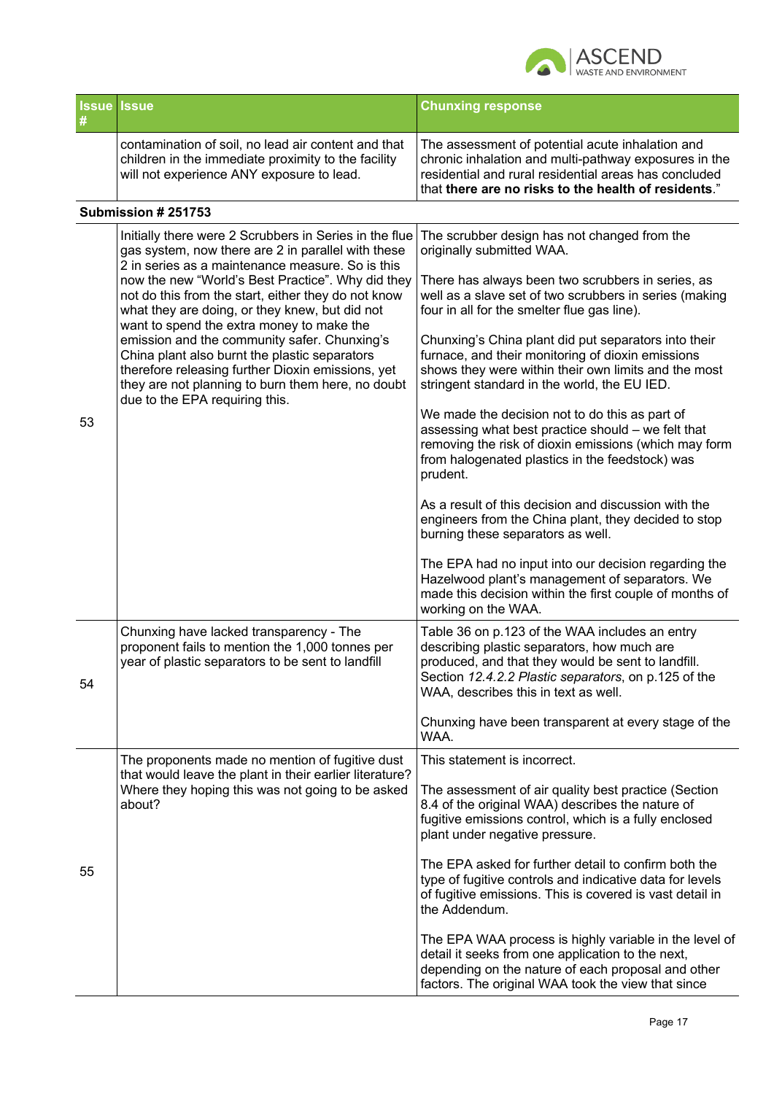

| <b>Issue Issue</b> |                                                                                                                                                         | <b>Chunxing response</b>                                                                                                                                                                                                   |
|--------------------|---------------------------------------------------------------------------------------------------------------------------------------------------------|----------------------------------------------------------------------------------------------------------------------------------------------------------------------------------------------------------------------------|
|                    | contamination of soil, no lead air content and that<br>children in the immediate proximity to the facility<br>will not experience ANY exposure to lead. | The assessment of potential acute inhalation and<br>chronic inhalation and multi-pathway exposures in the<br>residential and rural residential areas has concluded<br>that there are no risks to the health of residents." |

### **Submission # 251753**

|    | Initially there were 2 Scrubbers in Series in the flue<br>gas system, now there are 2 in parallel with these<br>2 in series as a maintenance measure. So is this<br>now the new "World's Best Practice". Why did they<br>not do this from the start, either they do not know<br>what they are doing, or they knew, but did not<br>want to spend the extra money to make the<br>emission and the community safer. Chunxing's<br>China plant also burnt the plastic separators<br>therefore releasing further Dioxin emissions, yet<br>they are not planning to burn them here, no doubt<br>due to the EPA requiring this. | The scrubber design has not changed from the<br>originally submitted WAA.                                                                                                                                                                           |
|----|--------------------------------------------------------------------------------------------------------------------------------------------------------------------------------------------------------------------------------------------------------------------------------------------------------------------------------------------------------------------------------------------------------------------------------------------------------------------------------------------------------------------------------------------------------------------------------------------------------------------------|-----------------------------------------------------------------------------------------------------------------------------------------------------------------------------------------------------------------------------------------------------|
|    |                                                                                                                                                                                                                                                                                                                                                                                                                                                                                                                                                                                                                          | There has always been two scrubbers in series, as<br>well as a slave set of two scrubbers in series (making<br>four in all for the smelter flue gas line).                                                                                          |
|    |                                                                                                                                                                                                                                                                                                                                                                                                                                                                                                                                                                                                                          | Chunxing's China plant did put separators into their<br>furnace, and their monitoring of dioxin emissions<br>shows they were within their own limits and the most<br>stringent standard in the world, the EU IED.                                   |
| 53 |                                                                                                                                                                                                                                                                                                                                                                                                                                                                                                                                                                                                                          | We made the decision not to do this as part of<br>assessing what best practice should - we felt that<br>removing the risk of dioxin emissions (which may form<br>from halogenated plastics in the feedstock) was<br>prudent.                        |
|    |                                                                                                                                                                                                                                                                                                                                                                                                                                                                                                                                                                                                                          | As a result of this decision and discussion with the<br>engineers from the China plant, they decided to stop<br>burning these separators as well.                                                                                                   |
|    |                                                                                                                                                                                                                                                                                                                                                                                                                                                                                                                                                                                                                          | The EPA had no input into our decision regarding the<br>Hazelwood plant's management of separators. We<br>made this decision within the first couple of months of<br>working on the WAA.                                                            |
| 54 | Chunxing have lacked transparency - The<br>proponent fails to mention the 1,000 tonnes per<br>year of plastic separators to be sent to landfill                                                                                                                                                                                                                                                                                                                                                                                                                                                                          | Table 36 on p.123 of the WAA includes an entry<br>describing plastic separators, how much are<br>produced, and that they would be sent to landfill.<br>Section 12.4.2.2 Plastic separators, on p.125 of the<br>WAA, describes this in text as well. |
|    |                                                                                                                                                                                                                                                                                                                                                                                                                                                                                                                                                                                                                          | Chunxing have been transparent at every stage of the<br>WAA.                                                                                                                                                                                        |
|    | The proponents made no mention of fugitive dust                                                                                                                                                                                                                                                                                                                                                                                                                                                                                                                                                                          | This statement is incorrect.                                                                                                                                                                                                                        |
| 55 | that would leave the plant in their earlier literature?<br>Where they hoping this was not going to be asked<br>about?                                                                                                                                                                                                                                                                                                                                                                                                                                                                                                    | The assessment of air quality best practice (Section<br>8.4 of the original WAA) describes the nature of<br>fugitive emissions control, which is a fully enclosed<br>plant under negative pressure.                                                 |
|    |                                                                                                                                                                                                                                                                                                                                                                                                                                                                                                                                                                                                                          | The EPA asked for further detail to confirm both the<br>type of fugitive controls and indicative data for levels<br>of fugitive emissions. This is covered is vast detail in<br>the Addendum.                                                       |
|    |                                                                                                                                                                                                                                                                                                                                                                                                                                                                                                                                                                                                                          | The EPA WAA process is highly variable in the level of<br>detail it seeks from one application to the next,<br>depending on the nature of each proposal and other<br>factors. The original WAA took the view that since                             |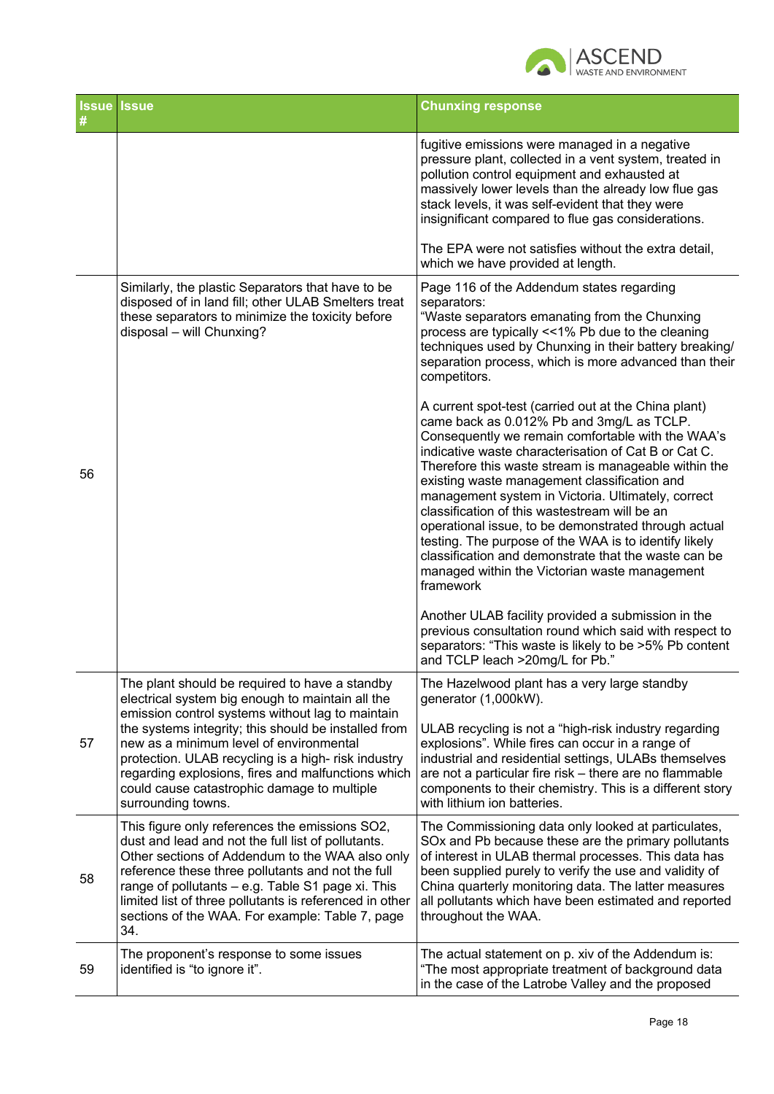

|    | <b>Issue Issue</b>                                                                                                                                                                                                                                                                                                                                                                     | <b>Chunxing response</b>                                                                                                                                                                                                                                                                                                                                                                                                                                                                                                                                                                                                                                             |
|----|----------------------------------------------------------------------------------------------------------------------------------------------------------------------------------------------------------------------------------------------------------------------------------------------------------------------------------------------------------------------------------------|----------------------------------------------------------------------------------------------------------------------------------------------------------------------------------------------------------------------------------------------------------------------------------------------------------------------------------------------------------------------------------------------------------------------------------------------------------------------------------------------------------------------------------------------------------------------------------------------------------------------------------------------------------------------|
|    |                                                                                                                                                                                                                                                                                                                                                                                        | fugitive emissions were managed in a negative<br>pressure plant, collected in a vent system, treated in<br>pollution control equipment and exhausted at<br>massively lower levels than the already low flue gas<br>stack levels, it was self-evident that they were<br>insignificant compared to flue gas considerations.                                                                                                                                                                                                                                                                                                                                            |
|    |                                                                                                                                                                                                                                                                                                                                                                                        | The EPA were not satisfies without the extra detail,<br>which we have provided at length.                                                                                                                                                                                                                                                                                                                                                                                                                                                                                                                                                                            |
| 56 | Similarly, the plastic Separators that have to be<br>disposed of in land fill; other ULAB Smelters treat<br>these separators to minimize the toxicity before<br>disposal - will Chunxing?                                                                                                                                                                                              | Page 116 of the Addendum states regarding<br>separators:<br>"Waste separators emanating from the Chunxing<br>process are typically <<1% Pb due to the cleaning<br>techniques used by Chunxing in their battery breaking/<br>separation process, which is more advanced than their<br>competitors.                                                                                                                                                                                                                                                                                                                                                                    |
|    |                                                                                                                                                                                                                                                                                                                                                                                        | A current spot-test (carried out at the China plant)<br>came back as 0.012% Pb and 3mg/L as TCLP.<br>Consequently we remain comfortable with the WAA's<br>indicative waste characterisation of Cat B or Cat C.<br>Therefore this waste stream is manageable within the<br>existing waste management classification and<br>management system in Victoria. Ultimately, correct<br>classification of this wastestream will be an<br>operational issue, to be demonstrated through actual<br>testing. The purpose of the WAA is to identify likely<br>classification and demonstrate that the waste can be<br>managed within the Victorian waste management<br>framework |
|    |                                                                                                                                                                                                                                                                                                                                                                                        | Another ULAB facility provided a submission in the<br>previous consultation round which said with respect to<br>separators: "This waste is likely to be >5% Pb content<br>and TCLP leach >20mg/L for Pb."                                                                                                                                                                                                                                                                                                                                                                                                                                                            |
|    | The plant should be required to have a standby<br>electrical system big enough to maintain all the                                                                                                                                                                                                                                                                                     | The Hazelwood plant has a very large standby<br>generator (1,000kW).                                                                                                                                                                                                                                                                                                                                                                                                                                                                                                                                                                                                 |
| 57 | emission control systems without lag to maintain<br>the systems integrity; this should be installed from<br>new as a minimum level of environmental<br>protection. ULAB recycling is a high-risk industry<br>regarding explosions, fires and malfunctions which<br>could cause catastrophic damage to multiple<br>surrounding towns.                                                   | ULAB recycling is not a "high-risk industry regarding<br>explosions". While fires can occur in a range of<br>industrial and residential settings, ULABs themselves<br>are not a particular fire risk - there are no flammable<br>components to their chemistry. This is a different story<br>with lithium ion batteries.                                                                                                                                                                                                                                                                                                                                             |
| 58 | This figure only references the emissions SO2,<br>dust and lead and not the full list of pollutants.<br>Other sections of Addendum to the WAA also only<br>reference these three pollutants and not the full<br>range of pollutants - e.g. Table S1 page xi. This<br>limited list of three pollutants is referenced in other<br>sections of the WAA. For example: Table 7, page<br>34. | The Commissioning data only looked at particulates,<br>SOx and Pb because these are the primary pollutants<br>of interest in ULAB thermal processes. This data has<br>been supplied purely to verify the use and validity of<br>China quarterly monitoring data. The latter measures<br>all pollutants which have been estimated and reported<br>throughout the WAA.                                                                                                                                                                                                                                                                                                 |
| 59 | The proponent's response to some issues<br>identified is "to ignore it".                                                                                                                                                                                                                                                                                                               | The actual statement on p. xiv of the Addendum is:<br>"The most appropriate treatment of background data<br>in the case of the Latrobe Valley and the proposed                                                                                                                                                                                                                                                                                                                                                                                                                                                                                                       |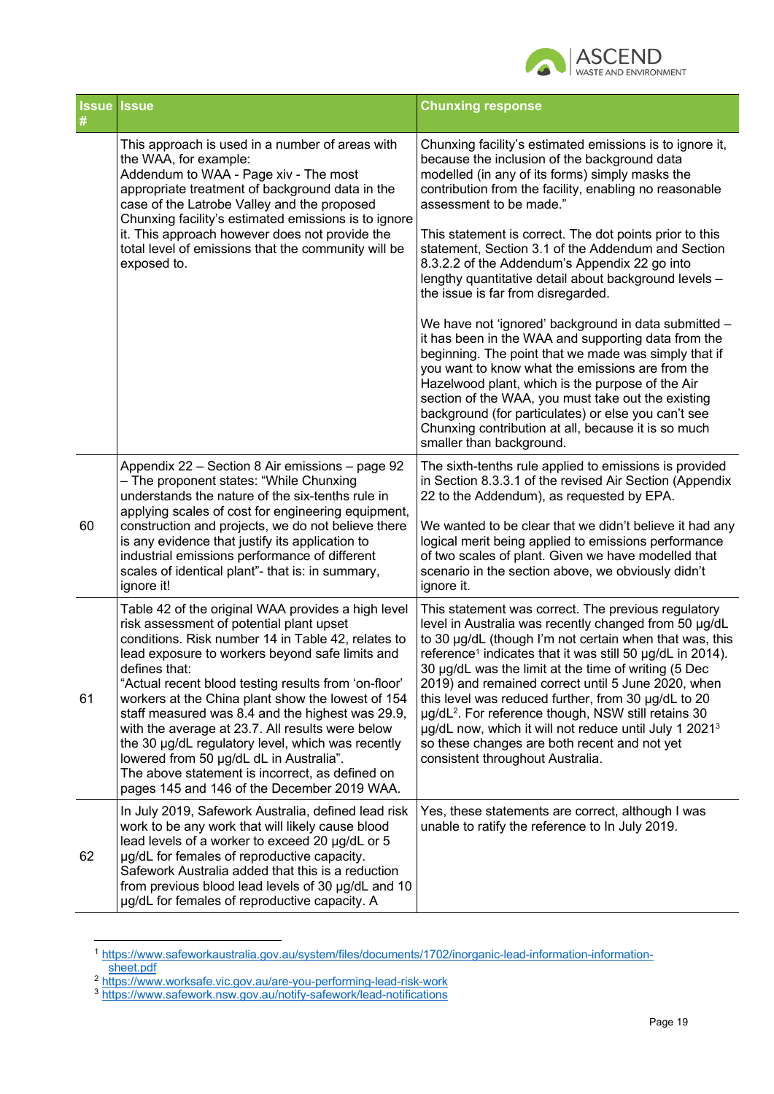

|    | Issue Issue                                                                                                                                                                                                                                                                                                                                                                                                                                                                                                                                                                                                                                     | <b>Chunxing response</b>                                                                                                                                                                                                                                                                                                                                                                                                                                                                                                                                                                                                                                                                                                                                                                                                                                                                                                                                                                         |
|----|-------------------------------------------------------------------------------------------------------------------------------------------------------------------------------------------------------------------------------------------------------------------------------------------------------------------------------------------------------------------------------------------------------------------------------------------------------------------------------------------------------------------------------------------------------------------------------------------------------------------------------------------------|--------------------------------------------------------------------------------------------------------------------------------------------------------------------------------------------------------------------------------------------------------------------------------------------------------------------------------------------------------------------------------------------------------------------------------------------------------------------------------------------------------------------------------------------------------------------------------------------------------------------------------------------------------------------------------------------------------------------------------------------------------------------------------------------------------------------------------------------------------------------------------------------------------------------------------------------------------------------------------------------------|
|    | This approach is used in a number of areas with<br>the WAA, for example:<br>Addendum to WAA - Page xiv - The most<br>appropriate treatment of background data in the<br>case of the Latrobe Valley and the proposed<br>Chunxing facility's estimated emissions is to ignore<br>it. This approach however does not provide the<br>total level of emissions that the community will be<br>exposed to.                                                                                                                                                                                                                                             | Chunxing facility's estimated emissions is to ignore it,<br>because the inclusion of the background data<br>modelled (in any of its forms) simply masks the<br>contribution from the facility, enabling no reasonable<br>assessment to be made."<br>This statement is correct. The dot points prior to this<br>statement, Section 3.1 of the Addendum and Section<br>8.3.2.2 of the Addendum's Appendix 22 go into<br>lengthy quantitative detail about background levels -<br>the issue is far from disregarded.<br>We have not 'ignored' background in data submitted -<br>it has been in the WAA and supporting data from the<br>beginning. The point that we made was simply that if<br>you want to know what the emissions are from the<br>Hazelwood plant, which is the purpose of the Air<br>section of the WAA, you must take out the existing<br>background (for particulates) or else you can't see<br>Chunxing contribution at all, because it is so much<br>smaller than background. |
| 60 | Appendix 22 - Section 8 Air emissions - page 92<br>- The proponent states: "While Chunxing<br>understands the nature of the six-tenths rule in<br>applying scales of cost for engineering equipment,<br>construction and projects, we do not believe there<br>is any evidence that justify its application to<br>industrial emissions performance of different<br>scales of identical plant"- that is: in summary,<br>ignore it!                                                                                                                                                                                                                | The sixth-tenths rule applied to emissions is provided<br>in Section 8.3.3.1 of the revised Air Section (Appendix<br>22 to the Addendum), as requested by EPA.<br>We wanted to be clear that we didn't believe it had any<br>logical merit being applied to emissions performance<br>of two scales of plant. Given we have modelled that<br>scenario in the section above, we obviously didn't<br>ignore it.                                                                                                                                                                                                                                                                                                                                                                                                                                                                                                                                                                                     |
| 61 | Table 42 of the original WAA provides a high level<br>risk assessment of potential plant upset<br>conditions. Risk number 14 in Table 42, relates to<br>lead exposure to workers beyond safe limits and<br>defines that:<br>"Actual recent blood testing results from 'on-floor'<br>workers at the China plant show the lowest of 154<br>staff measured was 8.4 and the highest was 29.9,<br>with the average at 23.7. All results were below<br>the 30 µg/dL regulatory level, which was recently<br>lowered from 50 µg/dL dL in Australia".<br>The above statement is incorrect, as defined on<br>pages 145 and 146 of the December 2019 WAA. | This statement was correct. The previous regulatory<br>level in Australia was recently changed from 50 µg/dL<br>to 30 µg/dL (though I'm not certain when that was, this<br>reference <sup>1</sup> indicates that it was still 50 µg/dL in 2014).<br>30 µg/dL was the limit at the time of writing (5 Dec<br>2019) and remained correct until 5 June 2020, when<br>this level was reduced further, from 30 µg/dL to 20<br>µg/dL <sup>2</sup> . For reference though, NSW still retains 30<br>ug/dL now, which it will not reduce until July 1 2021 <sup>3</sup><br>so these changes are both recent and not yet<br>consistent throughout Australia.                                                                                                                                                                                                                                                                                                                                               |
| 62 | In July 2019, Safework Australia, defined lead risk<br>work to be any work that will likely cause blood<br>lead levels of a worker to exceed 20 µg/dL or 5<br>µg/dL for females of reproductive capacity.<br>Safework Australia added that this is a reduction<br>from previous blood lead levels of 30 µg/dL and 10<br>µg/dL for females of reproductive capacity. A                                                                                                                                                                                                                                                                           | Yes, these statements are correct, although I was<br>unable to ratify the reference to In July 2019.                                                                                                                                                                                                                                                                                                                                                                                                                                                                                                                                                                                                                                                                                                                                                                                                                                                                                             |

<sup>1</sup> https://www.safeworkaustralia.gov.au/system/files/documents/1702/inorganic-lead-information-informationsheet.pdf

<sup>&</sup>lt;sup>2</sup> https://www.worksafe.vic.gov.au/are-you-performing-lead-risk-work

<sup>3</sup> https://www.safework.nsw.gov.au/notify-safework/lead-notifications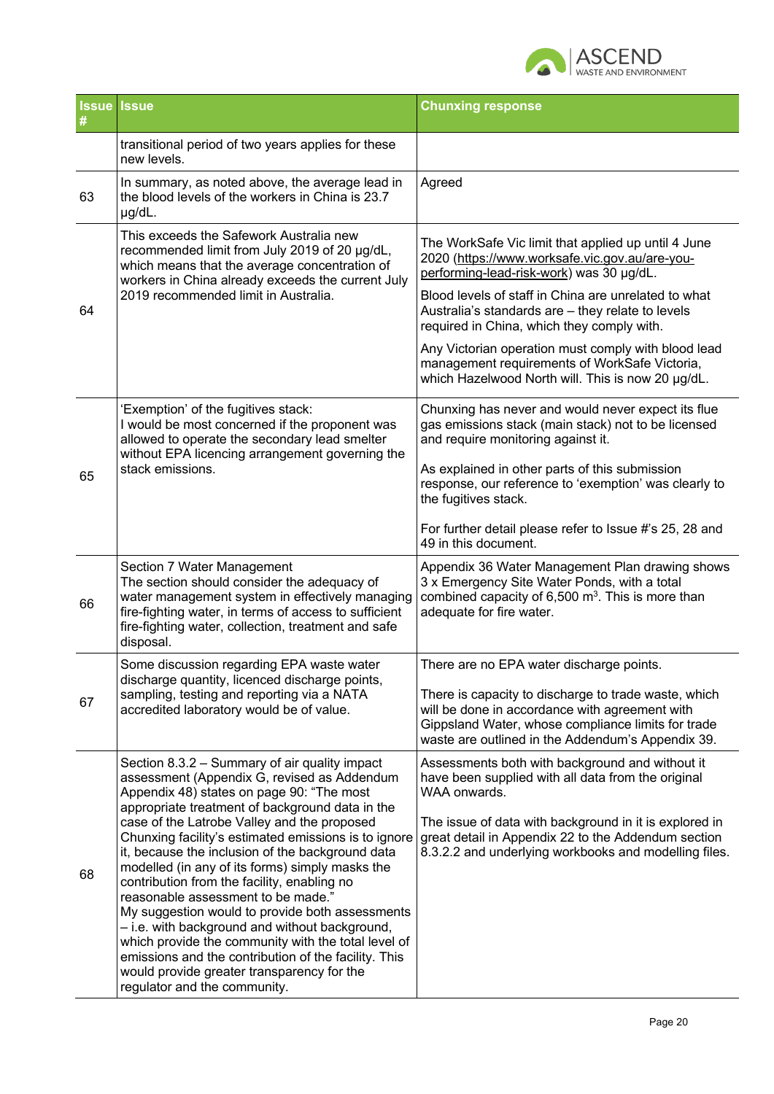

| #  | <b>Issue Issue</b>                                                                                                                                                                                                                                                                                                                                                                                                                                                                                                                                                                                                                                                                                                                                                                                | <b>Chunxing response</b>                                                                                                                                                                                                                                                                                                                                                                                                                                                  |
|----|---------------------------------------------------------------------------------------------------------------------------------------------------------------------------------------------------------------------------------------------------------------------------------------------------------------------------------------------------------------------------------------------------------------------------------------------------------------------------------------------------------------------------------------------------------------------------------------------------------------------------------------------------------------------------------------------------------------------------------------------------------------------------------------------------|---------------------------------------------------------------------------------------------------------------------------------------------------------------------------------------------------------------------------------------------------------------------------------------------------------------------------------------------------------------------------------------------------------------------------------------------------------------------------|
|    | transitional period of two years applies for these<br>new levels.                                                                                                                                                                                                                                                                                                                                                                                                                                                                                                                                                                                                                                                                                                                                 |                                                                                                                                                                                                                                                                                                                                                                                                                                                                           |
| 63 | In summary, as noted above, the average lead in<br>the blood levels of the workers in China is 23.7<br>µg/dL.                                                                                                                                                                                                                                                                                                                                                                                                                                                                                                                                                                                                                                                                                     | Agreed                                                                                                                                                                                                                                                                                                                                                                                                                                                                    |
| 64 | This exceeds the Safework Australia new<br>recommended limit from July 2019 of 20 µg/dL,<br>which means that the average concentration of<br>workers in China already exceeds the current July<br>2019 recommended limit in Australia.                                                                                                                                                                                                                                                                                                                                                                                                                                                                                                                                                            | The WorkSafe Vic limit that applied up until 4 June<br>2020 (https://www.worksafe.vic.gov.au/are-you-<br>performing-lead-risk-work) was 30 µg/dL.<br>Blood levels of staff in China are unrelated to what<br>Australia's standards are - they relate to levels<br>required in China, which they comply with.<br>Any Victorian operation must comply with blood lead<br>management requirements of WorkSafe Victoria,<br>which Hazelwood North will. This is now 20 µg/dL. |
| 65 | 'Exemption' of the fugitives stack:<br>I would be most concerned if the proponent was<br>allowed to operate the secondary lead smelter<br>without EPA licencing arrangement governing the<br>stack emissions.                                                                                                                                                                                                                                                                                                                                                                                                                                                                                                                                                                                     | Chunxing has never and would never expect its flue<br>gas emissions stack (main stack) not to be licensed<br>and require monitoring against it.<br>As explained in other parts of this submission<br>response, our reference to 'exemption' was clearly to<br>the fugitives stack.<br>For further detail please refer to Issue #'s 25, 28 and<br>49 in this document.                                                                                                     |
| 66 | Section 7 Water Management<br>The section should consider the adequacy of<br>water management system in effectively managing<br>fire-fighting water, in terms of access to sufficient<br>fire-fighting water, collection, treatment and safe<br>disposal.                                                                                                                                                                                                                                                                                                                                                                                                                                                                                                                                         | Appendix 36 Water Management Plan drawing shows<br>3 x Emergency Site Water Ponds, with a total<br>combined capacity of $6,500$ m <sup>3</sup> . This is more than<br>adequate for fire water.                                                                                                                                                                                                                                                                            |
| 67 | Some discussion regarding EPA waste water<br>discharge quantity, licenced discharge points,<br>sampling, testing and reporting via a NATA<br>accredited laboratory would be of value.                                                                                                                                                                                                                                                                                                                                                                                                                                                                                                                                                                                                             | There are no EPA water discharge points.<br>There is capacity to discharge to trade waste, which<br>will be done in accordance with agreement with<br>Gippsland Water, whose compliance limits for trade<br>waste are outlined in the Addendum's Appendix 39.                                                                                                                                                                                                             |
| 68 | Section 8.3.2 - Summary of air quality impact<br>assessment (Appendix G, revised as Addendum<br>Appendix 48) states on page 90: "The most<br>appropriate treatment of background data in the<br>case of the Latrobe Valley and the proposed<br>Chunxing facility's estimated emissions is to ignore<br>it, because the inclusion of the background data<br>modelled (in any of its forms) simply masks the<br>contribution from the facility, enabling no<br>reasonable assessment to be made."<br>My suggestion would to provide both assessments<br>- i.e. with background and without background,<br>which provide the community with the total level of<br>emissions and the contribution of the facility. This<br>would provide greater transparency for the<br>regulator and the community. | Assessments both with background and without it<br>have been supplied with all data from the original<br>WAA onwards.<br>The issue of data with background in it is explored in<br>great detail in Appendix 22 to the Addendum section<br>8.3.2.2 and underlying workbooks and modelling files.                                                                                                                                                                           |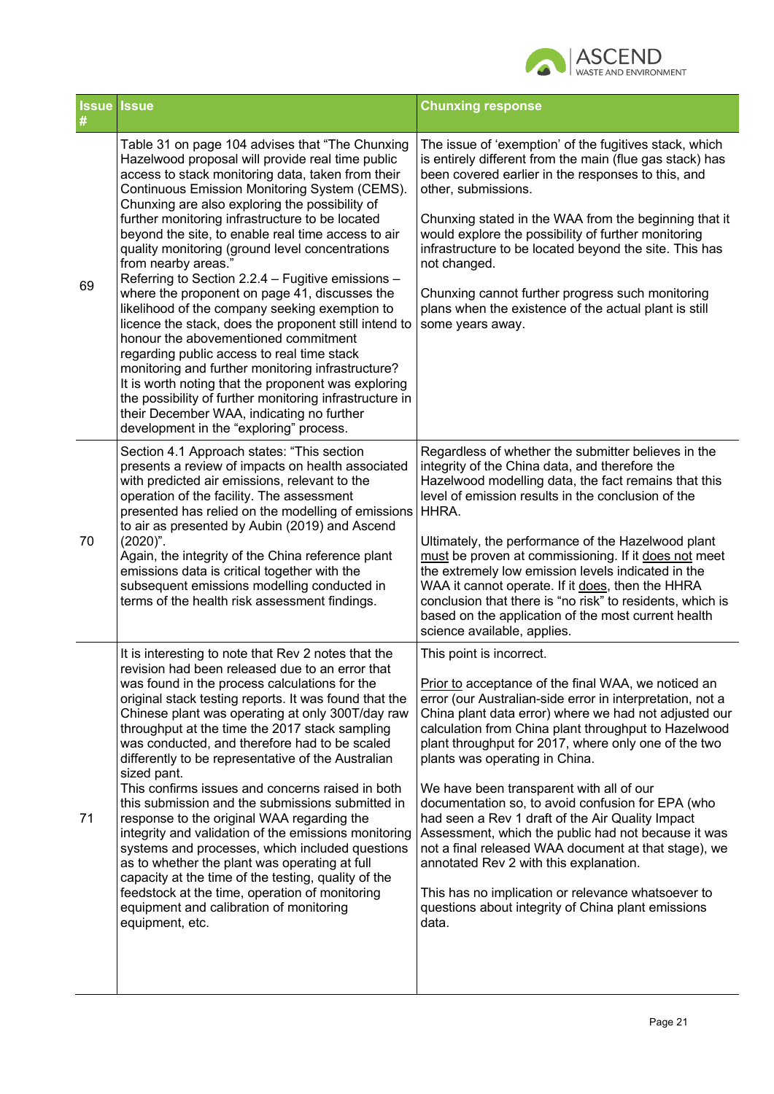

| #  | <b>Issue Issue</b>                                                                                                                                                                                                                                                                                                                                                                                                                                                                                                                                                                                                                                                                                                                                                                                                                                                                                                                                                                                                   | <b>Chunxing response</b>                                                                                                                                                                                                                                                                                                                                                                                                                                                                                                                                                                                                                                                                                                                                                                   |
|----|----------------------------------------------------------------------------------------------------------------------------------------------------------------------------------------------------------------------------------------------------------------------------------------------------------------------------------------------------------------------------------------------------------------------------------------------------------------------------------------------------------------------------------------------------------------------------------------------------------------------------------------------------------------------------------------------------------------------------------------------------------------------------------------------------------------------------------------------------------------------------------------------------------------------------------------------------------------------------------------------------------------------|--------------------------------------------------------------------------------------------------------------------------------------------------------------------------------------------------------------------------------------------------------------------------------------------------------------------------------------------------------------------------------------------------------------------------------------------------------------------------------------------------------------------------------------------------------------------------------------------------------------------------------------------------------------------------------------------------------------------------------------------------------------------------------------------|
| 69 | Table 31 on page 104 advises that "The Chunxing<br>Hazelwood proposal will provide real time public<br>access to stack monitoring data, taken from their<br>Continuous Emission Monitoring System (CEMS).<br>Chunxing are also exploring the possibility of<br>further monitoring infrastructure to be located<br>beyond the site, to enable real time access to air<br>quality monitoring (ground level concentrations<br>from nearby areas."<br>Referring to Section 2.2.4 - Fugitive emissions -<br>where the proponent on page 41, discusses the<br>likelihood of the company seeking exemption to<br>licence the stack, does the proponent still intend to<br>honour the abovementioned commitment<br>regarding public access to real time stack<br>monitoring and further monitoring infrastructure?<br>It is worth noting that the proponent was exploring<br>the possibility of further monitoring infrastructure in<br>their December WAA, indicating no further<br>development in the "exploring" process. | The issue of 'exemption' of the fugitives stack, which<br>is entirely different from the main (flue gas stack) has<br>been covered earlier in the responses to this, and<br>other, submissions.<br>Chunxing stated in the WAA from the beginning that it<br>would explore the possibility of further monitoring<br>infrastructure to be located beyond the site. This has<br>not changed.<br>Chunxing cannot further progress such monitoring<br>plans when the existence of the actual plant is still<br>some years away.                                                                                                                                                                                                                                                                 |
| 70 | Section 4.1 Approach states: "This section<br>presents a review of impacts on health associated<br>with predicted air emissions, relevant to the<br>operation of the facility. The assessment<br>presented has relied on the modelling of emissions<br>to air as presented by Aubin (2019) and Ascend<br>$(2020)$ ".<br>Again, the integrity of the China reference plant<br>emissions data is critical together with the<br>subsequent emissions modelling conducted in<br>terms of the health risk assessment findings.                                                                                                                                                                                                                                                                                                                                                                                                                                                                                            | Regardless of whether the submitter believes in the<br>integrity of the China data, and therefore the<br>Hazelwood modelling data, the fact remains that this<br>level of emission results in the conclusion of the<br>HHRA.<br>Ultimately, the performance of the Hazelwood plant<br>must be proven at commissioning. If it does not meet<br>the extremely low emission levels indicated in the<br>WAA it cannot operate. If it does, then the HHRA<br>conclusion that there is "no risk" to residents, which is<br>based on the application of the most current health<br>science available, applies.                                                                                                                                                                                    |
| 71 | It is interesting to note that Rev 2 notes that the<br>revision had been released due to an error that<br>was found in the process calculations for the<br>original stack testing reports. It was found that the<br>Chinese plant was operating at only 300T/day raw<br>throughput at the time the 2017 stack sampling<br>was conducted, and therefore had to be scaled<br>differently to be representative of the Australian<br>sized pant.<br>This confirms issues and concerns raised in both<br>this submission and the submissions submitted in<br>response to the original WAA regarding the<br>integrity and validation of the emissions monitoring<br>systems and processes, which included questions<br>as to whether the plant was operating at full<br>capacity at the time of the testing, quality of the<br>feedstock at the time, operation of monitoring<br>equipment and calibration of monitoring<br>equipment, etc.                                                                                | This point is incorrect.<br>Prior to acceptance of the final WAA, we noticed an<br>error (our Australian-side error in interpretation, not a<br>China plant data error) where we had not adjusted our<br>calculation from China plant throughput to Hazelwood<br>plant throughput for 2017, where only one of the two<br>plants was operating in China.<br>We have been transparent with all of our<br>documentation so, to avoid confusion for EPA (who<br>had seen a Rev 1 draft of the Air Quality Impact<br>Assessment, which the public had not because it was<br>not a final released WAA document at that stage), we<br>annotated Rev 2 with this explanation.<br>This has no implication or relevance whatsoever to<br>questions about integrity of China plant emissions<br>data. |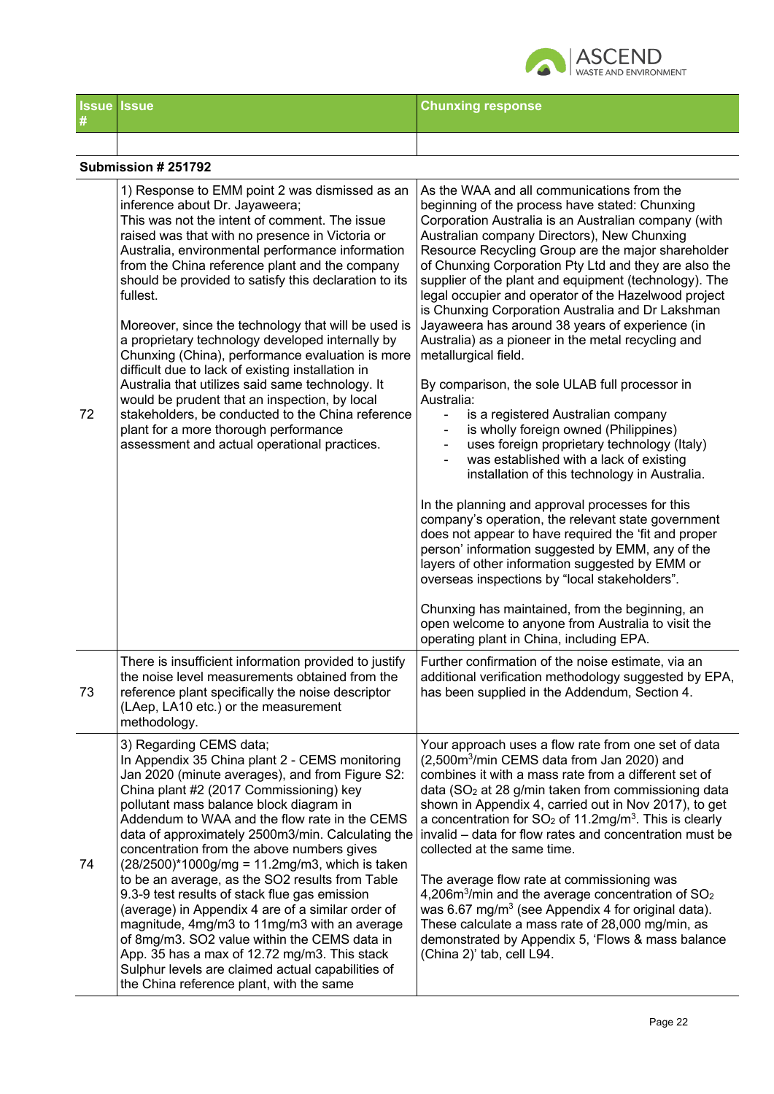

| # | <b>Issue Issue</b> | <b>Chunxing response</b> |
|---|--------------------|--------------------------|
|   |                    |                          |

|    | Submission # 251792                                                                                                                                                                                                                                                                                                                                                                                                                                                                                                                                                                                                                                                                                                                                                                                                                    |                                                                                                                                                                                                                                                                                                                                                                                                                                                                                                                                                                                                                                                                                                                                                                                                                                                                                                                                                                                                                                                                                                                                                                                                                                                                                                                                                                                                                               |  |  |
|----|----------------------------------------------------------------------------------------------------------------------------------------------------------------------------------------------------------------------------------------------------------------------------------------------------------------------------------------------------------------------------------------------------------------------------------------------------------------------------------------------------------------------------------------------------------------------------------------------------------------------------------------------------------------------------------------------------------------------------------------------------------------------------------------------------------------------------------------|-------------------------------------------------------------------------------------------------------------------------------------------------------------------------------------------------------------------------------------------------------------------------------------------------------------------------------------------------------------------------------------------------------------------------------------------------------------------------------------------------------------------------------------------------------------------------------------------------------------------------------------------------------------------------------------------------------------------------------------------------------------------------------------------------------------------------------------------------------------------------------------------------------------------------------------------------------------------------------------------------------------------------------------------------------------------------------------------------------------------------------------------------------------------------------------------------------------------------------------------------------------------------------------------------------------------------------------------------------------------------------------------------------------------------------|--|--|
| 72 | 1) Response to EMM point 2 was dismissed as an<br>inference about Dr. Jayaweera;<br>This was not the intent of comment. The issue<br>raised was that with no presence in Victoria or<br>Australia, environmental performance information<br>from the China reference plant and the company<br>should be provided to satisfy this declaration to its<br>fullest.<br>Moreover, since the technology that will be used is<br>a proprietary technology developed internally by<br>Chunxing (China), performance evaluation is more<br>difficult due to lack of existing installation in<br>Australia that utilizes said same technology. It<br>would be prudent that an inspection, by local<br>stakeholders, be conducted to the China reference<br>plant for a more thorough performance<br>assessment and actual operational practices. | As the WAA and all communications from the<br>beginning of the process have stated: Chunxing<br>Corporation Australia is an Australian company (with<br>Australian company Directors), New Chunxing<br>Resource Recycling Group are the major shareholder<br>of Chunxing Corporation Pty Ltd and they are also the<br>supplier of the plant and equipment (technology). The<br>legal occupier and operator of the Hazelwood project<br>is Chunxing Corporation Australia and Dr Lakshman<br>Jayaweera has around 38 years of experience (in<br>Australia) as a pioneer in the metal recycling and<br>metallurgical field.<br>By comparison, the sole ULAB full processor in<br>Australia:<br>is a registered Australian company<br>$\overline{\phantom{a}}$<br>is wholly foreign owned (Philippines)<br>uses foreign proprietary technology (Italy)<br>was established with a lack of existing<br>installation of this technology in Australia.<br>In the planning and approval processes for this<br>company's operation, the relevant state government<br>does not appear to have required the 'fit and proper<br>person' information suggested by EMM, any of the<br>layers of other information suggested by EMM or<br>overseas inspections by "local stakeholders".<br>Chunxing has maintained, from the beginning, an<br>open welcome to anyone from Australia to visit the<br>operating plant in China, including EPA. |  |  |
| 73 | There is insufficient information provided to justify<br>the noise level measurements obtained from the<br>reference plant specifically the noise descriptor<br>(LAep, LA10 etc.) or the measurement<br>methodology.                                                                                                                                                                                                                                                                                                                                                                                                                                                                                                                                                                                                                   | Further confirmation of the noise estimate, via an<br>additional verification methodology suggested by EPA,<br>has been supplied in the Addendum, Section 4.                                                                                                                                                                                                                                                                                                                                                                                                                                                                                                                                                                                                                                                                                                                                                                                                                                                                                                                                                                                                                                                                                                                                                                                                                                                                  |  |  |
| 74 | 3) Regarding CEMS data;<br>In Appendix 35 China plant 2 - CEMS monitoring<br>Jan 2020 (minute averages), and from Figure S2:<br>China plant #2 (2017 Commissioning) key<br>pollutant mass balance block diagram in<br>Addendum to WAA and the flow rate in the CEMS<br>data of approximately 2500m3/min. Calculating the<br>concentration from the above numbers gives<br>$(28/2500)^*1000g/mg = 11.2mg/m3$ , which is taken<br>to be an average, as the SO2 results from Table<br>9.3-9 test results of stack flue gas emission<br>(average) in Appendix 4 are of a similar order of<br>magnitude, 4mg/m3 to 11mg/m3 with an average<br>of 8mg/m3. SO2 value within the CEMS data in<br>App. 35 has a max of 12.72 mg/m3. This stack<br>Sulphur levels are claimed actual capabilities of<br>the China reference plant, with the same | Your approach uses a flow rate from one set of data<br>(2,500m <sup>3</sup> /min CEMS data from Jan 2020) and<br>combines it with a mass rate from a different set of<br>data (SO <sub>2</sub> at 28 g/min taken from commissioning data<br>shown in Appendix 4, carried out in Nov 2017), to get<br>a concentration for $SO2$ of 11.2mg/m <sup>3</sup> . This is clearly<br>invalid - data for flow rates and concentration must be<br>collected at the same time.<br>The average flow rate at commissioning was<br>4,206 $m3/min$ and the average concentration of SO <sub>2</sub><br>was 6.67 mg/m <sup>3</sup> (see Appendix 4 for original data).<br>These calculate a mass rate of 28,000 mg/min, as<br>demonstrated by Appendix 5, 'Flows & mass balance<br>(China 2)' tab, cell L94.                                                                                                                                                                                                                                                                                                                                                                                                                                                                                                                                                                                                                                  |  |  |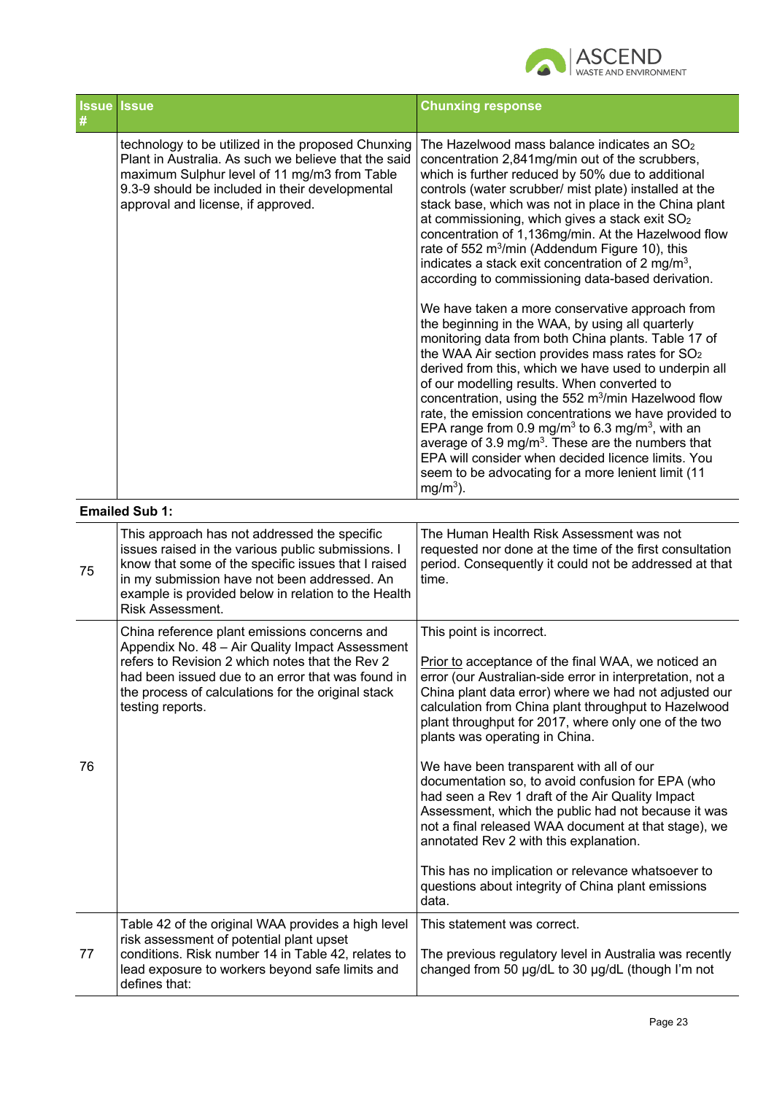

| #  | <b>Issue Issue</b>                                                                                                                                                                                                                                                                   | <b>Chunxing response</b>                                                                                                                                                                                                                                                                                                                                                                                                                                                                                                                                                                                                                                                                                                                                                                                                                                                                                                                                                                                                                                                                                                                                                                                                                                                                                                           |
|----|--------------------------------------------------------------------------------------------------------------------------------------------------------------------------------------------------------------------------------------------------------------------------------------|------------------------------------------------------------------------------------------------------------------------------------------------------------------------------------------------------------------------------------------------------------------------------------------------------------------------------------------------------------------------------------------------------------------------------------------------------------------------------------------------------------------------------------------------------------------------------------------------------------------------------------------------------------------------------------------------------------------------------------------------------------------------------------------------------------------------------------------------------------------------------------------------------------------------------------------------------------------------------------------------------------------------------------------------------------------------------------------------------------------------------------------------------------------------------------------------------------------------------------------------------------------------------------------------------------------------------------|
|    | technology to be utilized in the proposed Chunxing<br>Plant in Australia. As such we believe that the said<br>maximum Sulphur level of 11 mg/m3 from Table<br>9.3-9 should be included in their developmental<br>approval and license, if approved.                                  | The Hazelwood mass balance indicates an SO <sub>2</sub><br>concentration 2,841mg/min out of the scrubbers,<br>which is further reduced by 50% due to additional<br>controls (water scrubber/ mist plate) installed at the<br>stack base, which was not in place in the China plant<br>at commissioning, which gives a stack exit SO <sub>2</sub><br>concentration of 1,136mg/min. At the Hazelwood flow<br>rate of 552 m <sup>3</sup> /min (Addendum Figure 10), this<br>indicates a stack exit concentration of 2 mg/m <sup>3</sup> ,<br>according to commissioning data-based derivation.<br>We have taken a more conservative approach from<br>the beginning in the WAA, by using all quarterly<br>monitoring data from both China plants. Table 17 of<br>the WAA Air section provides mass rates for SO <sub>2</sub><br>derived from this, which we have used to underpin all<br>of our modelling results. When converted to<br>concentration, using the 552 m <sup>3</sup> /min Hazelwood flow<br>rate, the emission concentrations we have provided to<br>EPA range from 0.9 mg/m <sup>3</sup> to 6.3 mg/m <sup>3</sup> , with an<br>average of 3.9 mg/m <sup>3</sup> . These are the numbers that<br>EPA will consider when decided licence limits. You<br>seem to be advocating for a more lenient limit (11<br>$mg/m3$ ). |
|    | <b>Emailed Sub 1:</b>                                                                                                                                                                                                                                                                |                                                                                                                                                                                                                                                                                                                                                                                                                                                                                                                                                                                                                                                                                                                                                                                                                                                                                                                                                                                                                                                                                                                                                                                                                                                                                                                                    |
| 75 | This approach has not addressed the specific<br>issues raised in the various public submissions. I<br>know that some of the specific issues that I raised<br>in my submission have not been addressed. An<br>example is provided below in relation to the Health<br>Risk Assessment. | The Human Health Risk Assessment was not<br>requested nor done at the time of the first consultation<br>period. Consequently it could not be addressed at that<br>time.                                                                                                                                                                                                                                                                                                                                                                                                                                                                                                                                                                                                                                                                                                                                                                                                                                                                                                                                                                                                                                                                                                                                                            |
| 76 | China reference plant emissions concerns and<br>Appendix No. 48 - Air Quality Impact Assessment<br>refers to Revision 2 which notes that the Rev 2<br>had been issued due to an error that was found in<br>the process of calculations for the original stack<br>testing reports.    | This point is incorrect.<br>Prior to acceptance of the final WAA, we noticed an<br>error (our Australian-side error in interpretation, not a<br>China plant data error) where we had not adjusted our<br>calculation from China plant throughput to Hazelwood<br>plant throughput for 2017, where only one of the two<br>plants was operating in China.<br>We have been transparent with all of our<br>documentation so, to avoid confusion for EPA (who<br>had seen a Rev 1 draft of the Air Quality Impact<br>Assessment, which the public had not because it was<br>not a final released WAA document at that stage), we<br>annotated Rev 2 with this explanation.<br>This has no implication or relevance whatsoever to<br>questions about integrity of China plant emissions<br>data.                                                                                                                                                                                                                                                                                                                                                                                                                                                                                                                                         |
| 77 | Table 42 of the original WAA provides a high level<br>risk assessment of potential plant upset<br>conditions. Risk number 14 in Table 42, relates to<br>lead exposure to workers beyond safe limits and<br>defines that:                                                             | This statement was correct.<br>The previous regulatory level in Australia was recently<br>changed from 50 µg/dL to 30 µg/dL (though I'm not                                                                                                                                                                                                                                                                                                                                                                                                                                                                                                                                                                                                                                                                                                                                                                                                                                                                                                                                                                                                                                                                                                                                                                                        |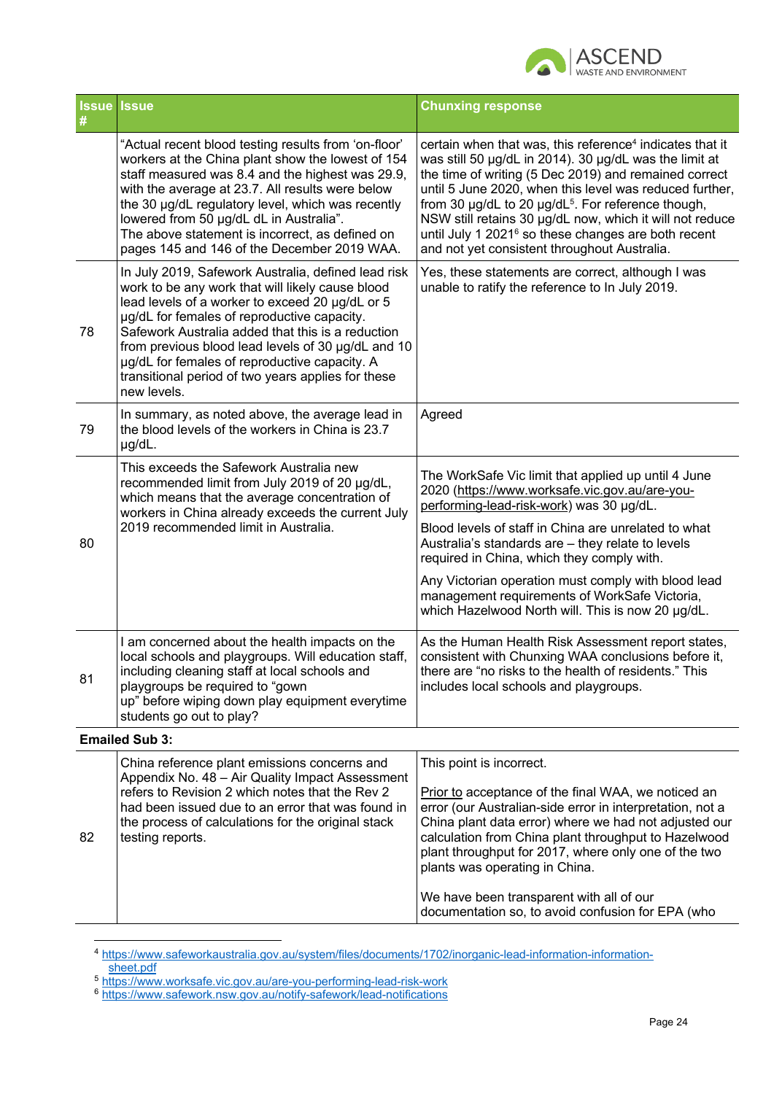

| #  | <b>Issue Issue</b>                                                                                                                                                                                                                                                                                                                                                                                                                         | <b>Chunxing response</b>                                                                                                                                                                                                                                                                                                                                                                                                                                                                            |
|----|--------------------------------------------------------------------------------------------------------------------------------------------------------------------------------------------------------------------------------------------------------------------------------------------------------------------------------------------------------------------------------------------------------------------------------------------|-----------------------------------------------------------------------------------------------------------------------------------------------------------------------------------------------------------------------------------------------------------------------------------------------------------------------------------------------------------------------------------------------------------------------------------------------------------------------------------------------------|
|    | "Actual recent blood testing results from 'on-floor'<br>workers at the China plant show the lowest of 154<br>staff measured was 8.4 and the highest was 29.9,<br>with the average at 23.7. All results were below<br>the 30 µg/dL regulatory level, which was recently<br>lowered from 50 µg/dL dL in Australia".<br>The above statement is incorrect, as defined on<br>pages 145 and 146 of the December 2019 WAA.                        | certain when that was, this reference <sup>4</sup> indicates that it<br>was still 50 µg/dL in 2014). 30 µg/dL was the limit at<br>the time of writing (5 Dec 2019) and remained correct<br>until 5 June 2020, when this level was reduced further,<br>from 30 µg/dL to 20 µg/dL <sup>5</sup> . For reference though,<br>NSW still retains 30 µg/dL now, which it will not reduce<br>until July 1 2021 <sup>6</sup> so these changes are both recent<br>and not yet consistent throughout Australia. |
| 78 | In July 2019, Safework Australia, defined lead risk<br>work to be any work that will likely cause blood<br>lead levels of a worker to exceed 20 µg/dL or 5<br>µg/dL for females of reproductive capacity.<br>Safework Australia added that this is a reduction<br>from previous blood lead levels of 30 µg/dL and 10<br>µg/dL for females of reproductive capacity. A<br>transitional period of two years applies for these<br>new levels. | Yes, these statements are correct, although I was<br>unable to ratify the reference to In July 2019.                                                                                                                                                                                                                                                                                                                                                                                                |
| 79 | In summary, as noted above, the average lead in<br>the blood levels of the workers in China is 23.7<br>µg/dL.                                                                                                                                                                                                                                                                                                                              | Agreed                                                                                                                                                                                                                                                                                                                                                                                                                                                                                              |
| 80 | This exceeds the Safework Australia new<br>recommended limit from July 2019 of 20 µg/dL,<br>which means that the average concentration of<br>workers in China already exceeds the current July<br>2019 recommended limit in Australia.                                                                                                                                                                                                     | The WorkSafe Vic limit that applied up until 4 June<br>2020 (https://www.worksafe.vic.gov.au/are-you-<br>performing-lead-risk-work) was 30 µg/dL.<br>Blood levels of staff in China are unrelated to what<br>Australia's standards are - they relate to levels<br>required in China, which they comply with.<br>Any Victorian operation must comply with blood lead<br>management requirements of WorkSafe Victoria,<br>which Hazelwood North will. This is now 20 µg/dL.                           |
| 81 | I am concerned about the health impacts on the<br>local schools and playgroups. Will education staff,<br>including cleaning staff at local schools and<br>playgroups be required to "gown<br>up" before wiping down play equipment everytime<br>students go out to play?                                                                                                                                                                   | As the Human Health Risk Assessment report states,<br>consistent with Chunxing WAA conclusions before it,<br>there are "no risks to the health of residents." This<br>includes local schools and playgroups.                                                                                                                                                                                                                                                                                        |
|    | <b>Emailed Sub 3:</b>                                                                                                                                                                                                                                                                                                                                                                                                                      |                                                                                                                                                                                                                                                                                                                                                                                                                                                                                                     |
| 82 | China reference plant emissions concerns and<br>Appendix No. 48 - Air Quality Impact Assessment<br>refers to Revision 2 which notes that the Rev 2<br>had been issued due to an error that was found in<br>the process of calculations for the original stack<br>testing reports.                                                                                                                                                          | This point is incorrect.<br>Prior to acceptance of the final WAA, we noticed an<br>error (our Australian-side error in interpretation, not a<br>China plant data error) where we had not adjusted our<br>calculation from China plant throughput to Hazelwood<br>plant throughput for 2017, where only one of the two<br>plants was operating in China.<br>We have been transparent with all of our<br>documentation so, to avoid confusion for EPA (who                                            |

<sup>4</sup> https://www.safeworkaustralia.gov.au/system/files/documents/1702/inorganic-lead-information-information-

sheet.pdf

<sup>5</sup> https://www.worksafe.vic.gov.au/are-you-performing-lead-risk-work

<sup>6</sup> https://www.safework.nsw.gov.au/notify-safework/lead-notifications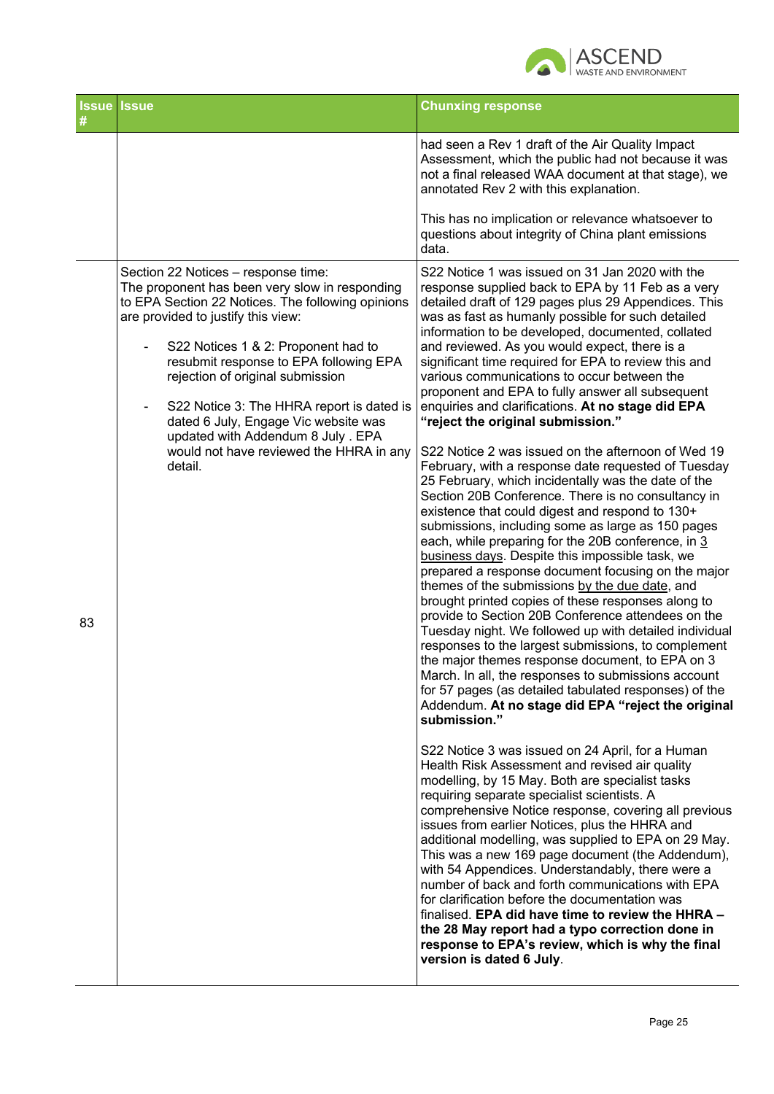

|    | <b>Issue Issue</b>                                                                                                                                                                                                                                                                                                                                                                                                                                                                                                | <b>Chunxing response</b>                                                                                                                                                                                                                                                                                                                                                                                                                                                                                                                                                                                                                                                                                                                                                                                                                                                                                                                                                                                                                                                                                                                                                                                                                                                                                                                                                                                                                                                                                                                                                                                                                                                                                                                                                                                                                                                                                                                                                                                                                                                                                                                                                                                                                                                                                                                                                              |
|----|-------------------------------------------------------------------------------------------------------------------------------------------------------------------------------------------------------------------------------------------------------------------------------------------------------------------------------------------------------------------------------------------------------------------------------------------------------------------------------------------------------------------|---------------------------------------------------------------------------------------------------------------------------------------------------------------------------------------------------------------------------------------------------------------------------------------------------------------------------------------------------------------------------------------------------------------------------------------------------------------------------------------------------------------------------------------------------------------------------------------------------------------------------------------------------------------------------------------------------------------------------------------------------------------------------------------------------------------------------------------------------------------------------------------------------------------------------------------------------------------------------------------------------------------------------------------------------------------------------------------------------------------------------------------------------------------------------------------------------------------------------------------------------------------------------------------------------------------------------------------------------------------------------------------------------------------------------------------------------------------------------------------------------------------------------------------------------------------------------------------------------------------------------------------------------------------------------------------------------------------------------------------------------------------------------------------------------------------------------------------------------------------------------------------------------------------------------------------------------------------------------------------------------------------------------------------------------------------------------------------------------------------------------------------------------------------------------------------------------------------------------------------------------------------------------------------------------------------------------------------------------------------------------------------|
|    |                                                                                                                                                                                                                                                                                                                                                                                                                                                                                                                   | had seen a Rev 1 draft of the Air Quality Impact<br>Assessment, which the public had not because it was<br>not a final released WAA document at that stage), we<br>annotated Rev 2 with this explanation.                                                                                                                                                                                                                                                                                                                                                                                                                                                                                                                                                                                                                                                                                                                                                                                                                                                                                                                                                                                                                                                                                                                                                                                                                                                                                                                                                                                                                                                                                                                                                                                                                                                                                                                                                                                                                                                                                                                                                                                                                                                                                                                                                                             |
|    |                                                                                                                                                                                                                                                                                                                                                                                                                                                                                                                   | This has no implication or relevance whatsoever to<br>questions about integrity of China plant emissions<br>data.                                                                                                                                                                                                                                                                                                                                                                                                                                                                                                                                                                                                                                                                                                                                                                                                                                                                                                                                                                                                                                                                                                                                                                                                                                                                                                                                                                                                                                                                                                                                                                                                                                                                                                                                                                                                                                                                                                                                                                                                                                                                                                                                                                                                                                                                     |
| 83 | Section 22 Notices - response time:<br>The proponent has been very slow in responding<br>to EPA Section 22 Notices. The following opinions<br>are provided to justify this view:<br>S22 Notices 1 & 2: Proponent had to<br>resubmit response to EPA following EPA<br>rejection of original submission<br>S22 Notice 3: The HHRA report is dated is<br>$\overline{\phantom{a}}$<br>dated 6 July, Engage Vic website was<br>updated with Addendum 8 July. EPA<br>would not have reviewed the HHRA in any<br>detail. | S22 Notice 1 was issued on 31 Jan 2020 with the<br>response supplied back to EPA by 11 Feb as a very<br>detailed draft of 129 pages plus 29 Appendices. This<br>was as fast as humanly possible for such detailed<br>information to be developed, documented, collated<br>and reviewed. As you would expect, there is a<br>significant time required for EPA to review this and<br>various communications to occur between the<br>proponent and EPA to fully answer all subsequent<br>enquiries and clarifications. At no stage did EPA<br>"reject the original submission."<br>S22 Notice 2 was issued on the afternoon of Wed 19<br>February, with a response date requested of Tuesday<br>25 February, which incidentally was the date of the<br>Section 20B Conference. There is no consultancy in<br>existence that could digest and respond to 130+<br>submissions, including some as large as 150 pages<br>each, while preparing for the 20B conference, in 3<br>business days. Despite this impossible task, we<br>prepared a response document focusing on the major<br>themes of the submissions by the due date, and<br>brought printed copies of these responses along to<br>provide to Section 20B Conference attendees on the<br>Tuesday night. We followed up with detailed individual<br>responses to the largest submissions, to complement<br>the major themes response document, to EPA on 3<br>March. In all, the responses to submissions account<br>for 57 pages (as detailed tabulated responses) of the<br>Addendum. At no stage did EPA "reject the original<br>submission."<br>S22 Notice 3 was issued on 24 April, for a Human<br>Health Risk Assessment and revised air quality<br>modelling, by 15 May. Both are specialist tasks<br>requiring separate specialist scientists. A<br>comprehensive Notice response, covering all previous<br>issues from earlier Notices, plus the HHRA and<br>additional modelling, was supplied to EPA on 29 May.<br>This was a new 169 page document (the Addendum),<br>with 54 Appendices. Understandably, there were a<br>number of back and forth communications with EPA<br>for clarification before the documentation was<br>finalised. EPA did have time to review the HHRA -<br>the 28 May report had a typo correction done in<br>response to EPA's review, which is why the final<br>version is dated 6 July. |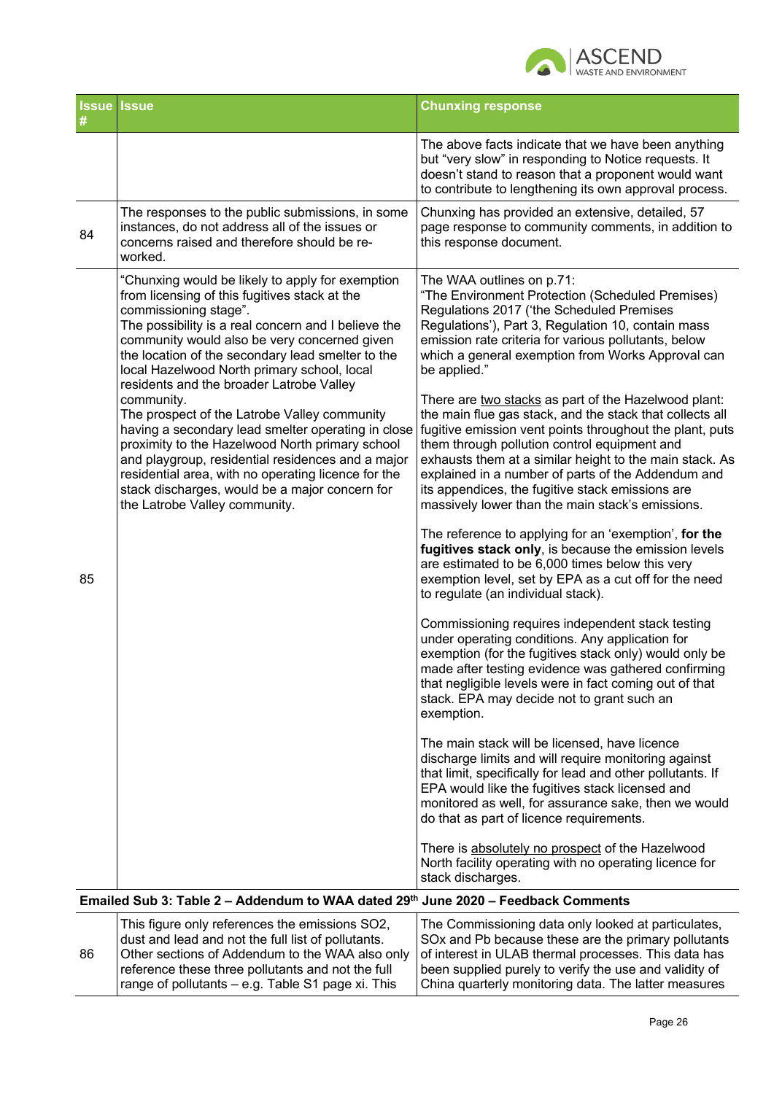

|    | <b>Issue Issue</b>                                                                                                                                                                                                                                                                                                                                                                | <b>Chunxing response</b>                                                                                                                                                                                                                                                                                                                                                                                                                              |
|----|-----------------------------------------------------------------------------------------------------------------------------------------------------------------------------------------------------------------------------------------------------------------------------------------------------------------------------------------------------------------------------------|-------------------------------------------------------------------------------------------------------------------------------------------------------------------------------------------------------------------------------------------------------------------------------------------------------------------------------------------------------------------------------------------------------------------------------------------------------|
|    |                                                                                                                                                                                                                                                                                                                                                                                   | The above facts indicate that we have been anything<br>but "very slow" in responding to Notice requests. It<br>doesn't stand to reason that a proponent would want<br>to contribute to lengthening its own approval process.                                                                                                                                                                                                                          |
| 84 | The responses to the public submissions, in some<br>instances, do not address all of the issues or<br>concerns raised and therefore should be re-<br>worked.                                                                                                                                                                                                                      | Chunxing has provided an extensive, detailed, 57<br>page response to community comments, in addition to<br>this response document.                                                                                                                                                                                                                                                                                                                    |
|    | "Chunxing would be likely to apply for exemption<br>from licensing of this fugitives stack at the<br>commissioning stage".<br>The possibility is a real concern and I believe the<br>community would also be very concerned given<br>the location of the secondary lead smelter to the<br>local Hazelwood North primary school, local<br>residents and the broader Latrobe Valley | The WAA outlines on p.71:<br>"The Environment Protection (Scheduled Premises)<br>Regulations 2017 ('the Scheduled Premises<br>Regulations'), Part 3, Regulation 10, contain mass<br>emission rate criteria for various pollutants, below<br>which a general exemption from Works Approval can<br>be applied."                                                                                                                                         |
|    | community.<br>The prospect of the Latrobe Valley community<br>having a secondary lead smelter operating in close<br>proximity to the Hazelwood North primary school<br>and playgroup, residential residences and a major<br>residential area, with no operating licence for the<br>stack discharges, would be a major concern for<br>the Latrobe Valley community.                | There are two stacks as part of the Hazelwood plant:<br>the main flue gas stack, and the stack that collects all<br>fugitive emission vent points throughout the plant, puts<br>them through pollution control equipment and<br>exhausts them at a similar height to the main stack. As<br>explained in a number of parts of the Addendum and<br>its appendices, the fugitive stack emissions are<br>massively lower than the main stack's emissions. |
| 85 |                                                                                                                                                                                                                                                                                                                                                                                   | The reference to applying for an 'exemption', for the<br>fugitives stack only, is because the emission levels<br>are estimated to be 6,000 times below this very<br>exemption level, set by EPA as a cut off for the need<br>to regulate (an individual stack).                                                                                                                                                                                       |
|    |                                                                                                                                                                                                                                                                                                                                                                                   | Commissioning requires independent stack testing<br>under operating conditions. Any application for<br>exemption (for the fugitives stack only) would only be<br>made after testing evidence was gathered confirming<br>that negligible levels were in fact coming out of that<br>stack. EPA may decide not to grant such an<br>exemption.                                                                                                            |
|    |                                                                                                                                                                                                                                                                                                                                                                                   | The main stack will be licensed, have licence<br>discharge limits and will require monitoring against<br>that limit, specifically for lead and other pollutants. If<br>EPA would like the fugitives stack licensed and<br>monitored as well, for assurance sake, then we would<br>do that as part of licence requirements.                                                                                                                            |
|    |                                                                                                                                                                                                                                                                                                                                                                                   | There is absolutely no prospect of the Hazelwood<br>North facility operating with no operating licence for<br>stack discharges.                                                                                                                                                                                                                                                                                                                       |
|    | Emailed Sub 3: Table 2 - Addendum to WAA dated 29th June 2020 - Feedback Comments                                                                                                                                                                                                                                                                                                 |                                                                                                                                                                                                                                                                                                                                                                                                                                                       |
| 86 | This figure only references the emissions SO2,<br>dust and lead and not the full list of pollutants.<br>Other sections of Addendum to the WAA also only<br>reference these three pollutants and not the full                                                                                                                                                                      | The Commissioning data only looked at particulates,<br>SOx and Pb because these are the primary pollutants<br>of interest in ULAB thermal processes. This data has<br>been supplied purely to verify the use and validity of                                                                                                                                                                                                                          |

range of pollutants – e.g. Table S1 page xi. This

China quarterly monitoring data. The latter measures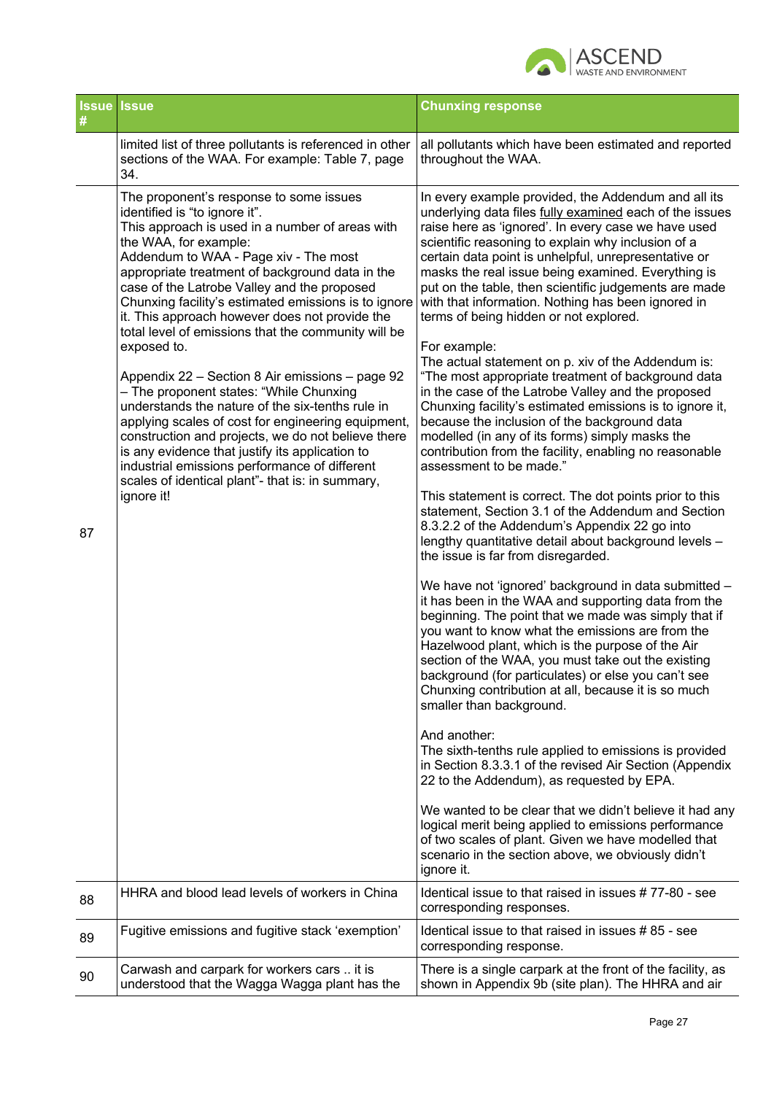

| <b>Issue</b><br># | <b>Issue</b>                                                                                                                                                                                                                                                                                                                                                                                                                                                                                                                                                                                                                                                                                                                                                                                                                                                                                                        | <b>Chunxing response</b>                                                                                                                                                                                                                                                                                                                                                                                                                                                                                                                                                                                                                                                                                                                                                                                                                                                                                                                                                                                                                                                                                                                                                                                                                                                                                                                                                                                                                                                                                                                                                                                                                                                                                                                                                                                                                                                                                                                                                                                                                                                                                   |
|-------------------|---------------------------------------------------------------------------------------------------------------------------------------------------------------------------------------------------------------------------------------------------------------------------------------------------------------------------------------------------------------------------------------------------------------------------------------------------------------------------------------------------------------------------------------------------------------------------------------------------------------------------------------------------------------------------------------------------------------------------------------------------------------------------------------------------------------------------------------------------------------------------------------------------------------------|------------------------------------------------------------------------------------------------------------------------------------------------------------------------------------------------------------------------------------------------------------------------------------------------------------------------------------------------------------------------------------------------------------------------------------------------------------------------------------------------------------------------------------------------------------------------------------------------------------------------------------------------------------------------------------------------------------------------------------------------------------------------------------------------------------------------------------------------------------------------------------------------------------------------------------------------------------------------------------------------------------------------------------------------------------------------------------------------------------------------------------------------------------------------------------------------------------------------------------------------------------------------------------------------------------------------------------------------------------------------------------------------------------------------------------------------------------------------------------------------------------------------------------------------------------------------------------------------------------------------------------------------------------------------------------------------------------------------------------------------------------------------------------------------------------------------------------------------------------------------------------------------------------------------------------------------------------------------------------------------------------------------------------------------------------------------------------------------------------|
|                   | limited list of three pollutants is referenced in other<br>sections of the WAA. For example: Table 7, page<br>34.                                                                                                                                                                                                                                                                                                                                                                                                                                                                                                                                                                                                                                                                                                                                                                                                   | all pollutants which have been estimated and reported<br>throughout the WAA.                                                                                                                                                                                                                                                                                                                                                                                                                                                                                                                                                                                                                                                                                                                                                                                                                                                                                                                                                                                                                                                                                                                                                                                                                                                                                                                                                                                                                                                                                                                                                                                                                                                                                                                                                                                                                                                                                                                                                                                                                               |
| 87                | The proponent's response to some issues<br>identified is "to ignore it".<br>This approach is used in a number of areas with<br>the WAA, for example:<br>Addendum to WAA - Page xiv - The most<br>appropriate treatment of background data in the<br>case of the Latrobe Valley and the proposed<br>Chunxing facility's estimated emissions is to ignore<br>it. This approach however does not provide the<br>total level of emissions that the community will be<br>exposed to.<br>Appendix 22 - Section 8 Air emissions - page 92<br>- The proponent states: "While Chunxing<br>understands the nature of the six-tenths rule in<br>applying scales of cost for engineering equipment,<br>construction and projects, we do not believe there<br>is any evidence that justify its application to<br>industrial emissions performance of different<br>scales of identical plant"- that is: in summary,<br>ignore it! | In every example provided, the Addendum and all its<br>underlying data files fully examined each of the issues<br>raise here as 'ignored'. In every case we have used<br>scientific reasoning to explain why inclusion of a<br>certain data point is unhelpful, unrepresentative or<br>masks the real issue being examined. Everything is<br>put on the table, then scientific judgements are made<br>with that information. Nothing has been ignored in<br>terms of being hidden or not explored.<br>For example:<br>The actual statement on p. xiv of the Addendum is:<br>"The most appropriate treatment of background data<br>in the case of the Latrobe Valley and the proposed<br>Chunxing facility's estimated emissions is to ignore it,<br>because the inclusion of the background data<br>modelled (in any of its forms) simply masks the<br>contribution from the facility, enabling no reasonable<br>assessment to be made."<br>This statement is correct. The dot points prior to this<br>statement, Section 3.1 of the Addendum and Section<br>8.3.2.2 of the Addendum's Appendix 22 go into<br>lengthy quantitative detail about background levels -<br>the issue is far from disregarded.<br>We have not 'ignored' background in data submitted -<br>it has been in the WAA and supporting data from the<br>beginning. The point that we made was simply that if<br>you want to know what the emissions are from the<br>Hazelwood plant, which is the purpose of the Air<br>section of the WAA, you must take out the existing<br>background (for particulates) or else you can't see<br>Chunxing contribution at all, because it is so much<br>smaller than background.<br>And another:<br>The sixth-tenths rule applied to emissions is provided<br>in Section 8.3.3.1 of the revised Air Section (Appendix<br>22 to the Addendum), as requested by EPA.<br>We wanted to be clear that we didn't believe it had any<br>logical merit being applied to emissions performance<br>of two scales of plant. Given we have modelled that<br>scenario in the section above, we obviously didn't |
| 88                | HHRA and blood lead levels of workers in China                                                                                                                                                                                                                                                                                                                                                                                                                                                                                                                                                                                                                                                                                                                                                                                                                                                                      | ignore it.<br>Identical issue to that raised in issues #77-80 - see                                                                                                                                                                                                                                                                                                                                                                                                                                                                                                                                                                                                                                                                                                                                                                                                                                                                                                                                                                                                                                                                                                                                                                                                                                                                                                                                                                                                                                                                                                                                                                                                                                                                                                                                                                                                                                                                                                                                                                                                                                        |
| 89                | Fugitive emissions and fugitive stack 'exemption'                                                                                                                                                                                                                                                                                                                                                                                                                                                                                                                                                                                                                                                                                                                                                                                                                                                                   | corresponding responses.<br>Identical issue to that raised in issues #85 - see                                                                                                                                                                                                                                                                                                                                                                                                                                                                                                                                                                                                                                                                                                                                                                                                                                                                                                                                                                                                                                                                                                                                                                                                                                                                                                                                                                                                                                                                                                                                                                                                                                                                                                                                                                                                                                                                                                                                                                                                                             |
|                   |                                                                                                                                                                                                                                                                                                                                                                                                                                                                                                                                                                                                                                                                                                                                                                                                                                                                                                                     | corresponding response.                                                                                                                                                                                                                                                                                                                                                                                                                                                                                                                                                                                                                                                                                                                                                                                                                                                                                                                                                                                                                                                                                                                                                                                                                                                                                                                                                                                                                                                                                                                                                                                                                                                                                                                                                                                                                                                                                                                                                                                                                                                                                    |
| 90                | Carwash and carpark for workers cars  it is<br>understood that the Wagga Wagga plant has the                                                                                                                                                                                                                                                                                                                                                                                                                                                                                                                                                                                                                                                                                                                                                                                                                        | There is a single carpark at the front of the facility, as<br>shown in Appendix 9b (site plan). The HHRA and air                                                                                                                                                                                                                                                                                                                                                                                                                                                                                                                                                                                                                                                                                                                                                                                                                                                                                                                                                                                                                                                                                                                                                                                                                                                                                                                                                                                                                                                                                                                                                                                                                                                                                                                                                                                                                                                                                                                                                                                           |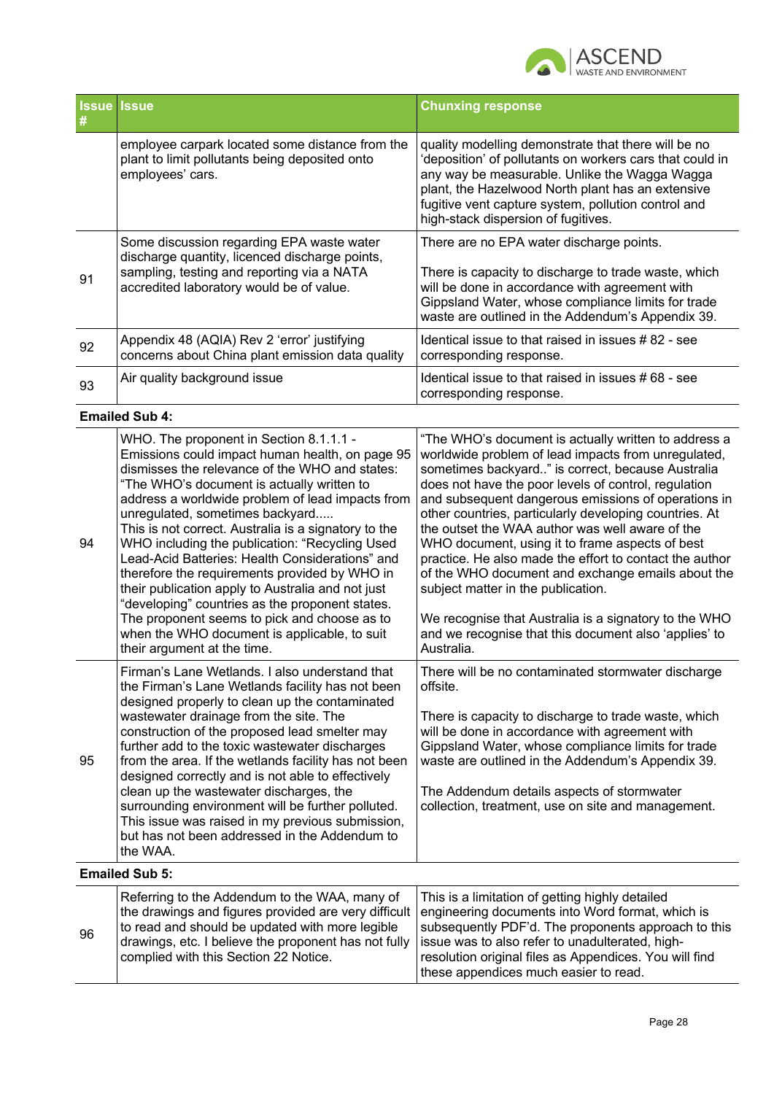

| #  | <b>Issue Issue</b>                                                                                                                                                                    | <b>Chunxing response</b>                                                                                                                                                                                                                                                                                            |
|----|---------------------------------------------------------------------------------------------------------------------------------------------------------------------------------------|---------------------------------------------------------------------------------------------------------------------------------------------------------------------------------------------------------------------------------------------------------------------------------------------------------------------|
|    | employee carpark located some distance from the<br>plant to limit pollutants being deposited onto<br>employees' cars.                                                                 | quality modelling demonstrate that there will be no<br>'deposition' of pollutants on workers cars that could in<br>any way be measurable. Unlike the Wagga Wagga<br>plant, the Hazelwood North plant has an extensive<br>fugitive vent capture system, pollution control and<br>high-stack dispersion of fugitives. |
| 91 | Some discussion regarding EPA waste water<br>discharge quantity, licenced discharge points,<br>sampling, testing and reporting via a NATA<br>accredited laboratory would be of value. | There are no EPA water discharge points.<br>There is capacity to discharge to trade waste, which<br>will be done in accordance with agreement with<br>Gippsland Water, whose compliance limits for trade<br>waste are outlined in the Addendum's Appendix 39.                                                       |
| 92 | Appendix 48 (AQIA) Rev 2 'error' justifying<br>concerns about China plant emission data quality                                                                                       | Identical issue to that raised in issues #82 - see<br>corresponding response.                                                                                                                                                                                                                                       |
| 93 | Air quality background issue                                                                                                                                                          | Identical issue to that raised in issues # 68 - see<br>corresponding response.                                                                                                                                                                                                                                      |

**Emailed Sub 4:**

| WHO. The proponent in Section 8.1.1.1 -<br>Emissions could impact human health, on page 95<br>dismisses the relevance of the WHO and states:<br>"The WHO's document is actually written to<br>address a worldwide problem of lead impacts from<br>unregulated, sometimes backyard<br>This is not correct. Australia is a signatory to the<br>94<br>WHO including the publication: "Recycling Used<br>Lead-Acid Batteries: Health Considerations" and<br>therefore the requirements provided by WHO in<br>their publication apply to Australia and not just<br>"developing" countries as the proponent states.<br>The proponent seems to pick and choose as to<br>when the WHO document is applicable, to suit<br>their argument at the time. | "The WHO's document is actually written to address a<br>worldwide problem of lead impacts from unregulated,<br>sometimes backyard" is correct, because Australia<br>does not have the poor levels of control, regulation<br>and subsequent dangerous emissions of operations in<br>other countries, particularly developing countries. At<br>the outset the WAA author was well aware of the<br>WHO document, using it to frame aspects of best<br>practice. He also made the effort to contact the author<br>of the WHO document and exchange emails about the<br>subject matter in the publication.<br>We recognise that Australia is a signatory to the WHO<br>and we recognise that this document also 'applies' to<br>Australia. |
|----------------------------------------------------------------------------------------------------------------------------------------------------------------------------------------------------------------------------------------------------------------------------------------------------------------------------------------------------------------------------------------------------------------------------------------------------------------------------------------------------------------------------------------------------------------------------------------------------------------------------------------------------------------------------------------------------------------------------------------------|---------------------------------------------------------------------------------------------------------------------------------------------------------------------------------------------------------------------------------------------------------------------------------------------------------------------------------------------------------------------------------------------------------------------------------------------------------------------------------------------------------------------------------------------------------------------------------------------------------------------------------------------------------------------------------------------------------------------------------------|
| Firman's Lane Wetlands. I also understand that<br>the Firman's Lane Wetlands facility has not been<br>designed properly to clean up the contaminated<br>wastewater drainage from the site. The<br>construction of the proposed lead smelter may<br>further add to the toxic wastewater discharges<br>95<br>from the area. If the wetlands facility has not been<br>designed correctly and is not able to effectively<br>clean up the wastewater discharges, the<br>surrounding environment will be further polluted.<br>This issue was raised in my previous submission,<br>but has not been addressed in the Addendum to<br>the WAA.<br><b>Emailed Sub 5:</b>                                                                               | There will be no contaminated stormwater discharge<br>offsite.<br>There is capacity to discharge to trade waste, which<br>will be done in accordance with agreement with<br>Gippsland Water, whose compliance limits for trade<br>waste are outlined in the Addendum's Appendix 39.<br>The Addendum details aspects of stormwater<br>collection, treatment, use on site and management.                                                                                                                                                                                                                                                                                                                                               |

| 96 | Referring to the Addendum to the WAA, many of<br>the drawings and figures provided are very difficult engineering documents into Word format, which is<br>to read and should be updated with more legible | This is a limitation of getting highly detailed<br>subsequently PDF'd. The proponents approach to this |
|----|-----------------------------------------------------------------------------------------------------------------------------------------------------------------------------------------------------------|--------------------------------------------------------------------------------------------------------|
|    | drawings, etc. I believe the proponent has not fully                                                                                                                                                      | issue was to also refer to unadulterated, high-                                                        |
|    | complied with this Section 22 Notice.                                                                                                                                                                     | resolution original files as Appendices. You will find                                                 |
|    |                                                                                                                                                                                                           | these appendices much easier to read.                                                                  |